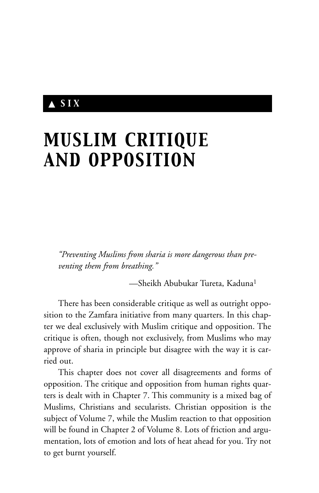# ▲ *SIX*

# *MUSLIM CRITIQUE AND OPPOSITION*

*"Preventing Muslims from sharia is more dangerous than preventing them from breathing."*

—Sheikh Abubukar Tureta, Kaduna1

There has been considerable critique as well as outright opposition to the Zamfara initiative from many quarters. In this chapter we deal exclusively with Muslim critique and opposition. The critique is often, though not exclusively, from Muslims who may approve of sharia in principle but disagree with the way it is carried out.

This chapter does not cover all disagreements and forms of opposition. The critique and opposition from human rights quarters is dealt with in Chapter 7. This community is a mixed bag of Muslims, Christians and secularists. Christian opposition is the subject of Volume 7, while the Muslim reaction to that opposition will be found in Chapter 2 of Volume 8. Lots of friction and argumentation, lots of emotion and lots of heat ahead for you. Try not to get burnt yourself.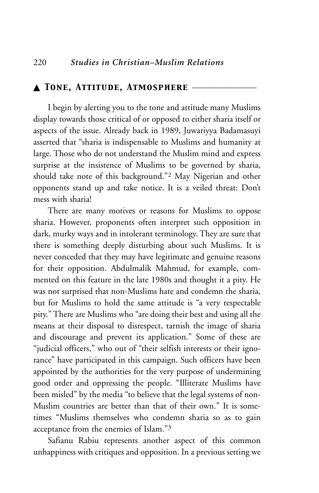#### ▲ *Tone, Attitude, Atmosphere* \_\_\_\_\_\_\_\_\_\_\_\_\_\_\_\_

I begin by alerting you to the tone and attitude many Muslims display towards those critical of or opposed to either sharia itself or aspects of the issue. Already back in 1989, Juwariyya Badamasuyi asserted that "sharia is indispensable to Muslims and humanity at large. Those who do not understand the Muslim mind and express surprise at the insistence of Muslims to be governed by sharia, should take note of this background."2 May Nigerian and other opponents stand up and take notice. It is a veiled threat: Don't mess with sharia!

There are many motives or reasons for Muslims to oppose sharia. However, proponents often interpret such opposition in dark, murky ways and in intolerant terminology. They are sure that there is something deeply disturbing about such Muslims. It is never conceded that they may have legitimate and genuine reasons for their opposition. Abdulmalik Mahmud, for example, commented on this feature in the late 1980s and thought it a pity. He was not surprised that non-Muslims hate and condemn the sharia, but for Muslims to hold the same attitude is "a very respectable pity." There are Muslims who "are doing their best and using all the means at their disposal to disrespect, tarnish the image of sharia and discourage and prevent its application." Some of these are "judicial officers," who out of "their selfish interests or their ignorance" have participated in this campaign. Such officers have been appointed by the authorities for the very purpose of undermining good order and oppressing the people. "Illiterate Muslims have been misled" by the media "to believe that the legal systems of non-Muslim countries are better than that of their own." It is sometimes "Muslims themselves who condemn sharia so as to gain acceptance from the enemies of Islam."3

Safianu Rabiu represents another aspect of this common unhappiness with critiques and opposition. In a previous setting we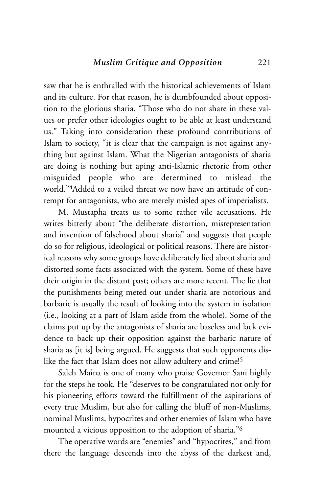saw that he is enthralled with the historical achievements of Islam and its culture. For that reason, he is dumbfounded about opposition to the glorious sharia. "Those who do not share in these values or prefer other ideologies ought to be able at least understand us." Taking into consideration these profound contributions of Islam to society, "it is clear that the campaign is not against anything but against Islam. What the Nigerian antagonists of sharia are doing is nothing but aping anti-Islamic rhetoric from other misguided people who are determined to mislead the world."4Added to a veiled threat we now have an attitude of contempt for antagonists, who are merely misled apes of imperialists.

M. Mustapha treats us to some rather vile accusations. He writes bitterly about "the deliberate distortion, misrepresentation and invention of falsehood about sharia" and suggests that people do so for religious, ideological or political reasons. There are historical reasons why some groups have deliberately lied about sharia and distorted some facts associated with the system. Some of these have their origin in the distant past; others are more recent. The lie that the punishments being meted out under sharia are notorious and barbaric is usually the result of looking into the system in isolation (i.e., looking at a part of Islam aside from the whole). Some of the claims put up by the antagonists of sharia are baseless and lack evidence to back up their opposition against the barbaric nature of sharia as [it is] being argued. He suggests that such opponents dislike the fact that Islam does not allow adultery and crime!5

Saleh Maina is one of many who praise Governor Sani highly for the steps he took. He "deserves to be congratulated not only for his pioneering efforts toward the fulfillment of the aspirations of every true Muslim, but also for calling the bluff of non-Muslims, nominal Muslims, hypocrites and other enemies of Islam who have mounted a vicious opposition to the adoption of sharia."6

The operative words are "enemies" and "hypocrites," and from there the language descends into the abyss of the darkest and,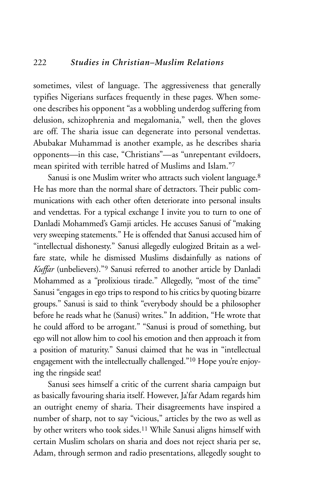sometimes, vilest of language. The aggressiveness that generally typifies Nigerians surfaces frequently in these pages. When someone describes his opponent "as a wobbling underdog suffering from delusion, schizophrenia and megalomania," well, then the gloves are off. The sharia issue can degenerate into personal vendettas. Abubakar Muhammad is another example, as he describes sharia opponents—in this case, "Christians"—as "unrepentant evildoers, mean spirited with terrible hatred of Muslims and Islam."7

Sanusi is one Muslim writer who attracts such violent language.<sup>8</sup> He has more than the normal share of detractors. Their public communications with each other often deteriorate into personal insults and vendettas. For a typical exchange I invite you to turn to one of Danladi Mohammed's Gamji articles. He accuses Sanusi of "making very sweeping statements." He is offended that Sanusi accused him of "intellectual dishonesty." Sanusi allegedly eulogized Britain as a welfare state, while he dismissed Muslims disdainfully as nations of *Kuffar* (unbelievers)."9 Sanusi referred to another article by Danladi Mohammed as a "prolixious tirade." Allegedly, "most of the time" Sanusi "engages in ego trips to respond to his critics by quoting bizarre groups." Sanusi is said to think "everybody should be a philosopher before he reads what he (Sanusi) writes." In addition, "He wrote that he could afford to be arrogant." "Sanusi is proud of something, but ego will not allow him to cool his emotion and then approach it from a position of maturity." Sanusi claimed that he was in "intellectual engagement with the intellectually challenged."10 Hope you're enjoying the ringside seat!

Sanusi sees himself a critic of the current sharia campaign but as basically favouring sharia itself. However, Ja'far Adam regards him an outright enemy of sharia. Their disagreements have inspired a number of sharp, not to say "vicious," articles by the two as well as by other writers who took sides.11 While Sanusi aligns himself with certain Muslim scholars on sharia and does not reject sharia per se, Adam, through sermon and radio presentations, allegedly sought to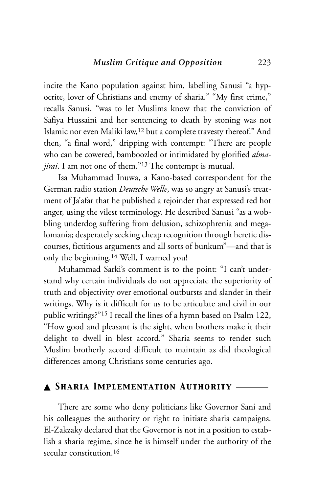incite the Kano population against him, labelling Sanusi "a hypocrite, lover of Christians and enemy of sharia." "My first crime," recalls Sanusi, "was to let Muslims know that the conviction of Safiya Hussaini and her sentencing to death by stoning was not Islamic nor even Maliki law,12 but a complete travesty thereof." And then, "a final word," dripping with contempt: "There are people who can be cowered, bamboozled or intimidated by glorified *almajirai*. I am not one of them."13 The contempt is mutual.

Isa Muhammad Inuwa, a Kano-based correspondent for the German radio station *Deutsche Welle*, was so angry at Sanusi's treatment of Ja'afar that he published a rejoinder that expressed red hot anger, using the vilest terminology. He described Sanusi "as a wobbling underdog suffering from delusion, schizophrenia and megalomania; desperately seeking cheap recognition through heretic discourses, fictitious arguments and all sorts of bunkum"—and that is only the beginning.14 Well, I warned you!

Muhammad Sarki's comment is to the point: "I can't understand why certain individuals do not appreciate the superiority of truth and objectivity over emotional outbursts and slander in their writings. Why is it difficult for us to be articulate and civil in our public writings?"15 I recall the lines of a hymn based on Psalm 122, "How good and pleasant is the sight, when brothers make it their delight to dwell in blest accord." Sharia seems to render such Muslim brotherly accord difficult to maintain as did theological differences among Christians some centuries ago.

#### ▲ *Sharia Implementation Authority* \_\_\_\_\_\_\_\_

There are some who deny politicians like Governor Sani and his colleagues the authority or right to initiate sharia campaigns. El-Zakzaky declared that the Governor is not in a position to establish a sharia regime, since he is himself under the authority of the secular constitution.<sup>16</sup>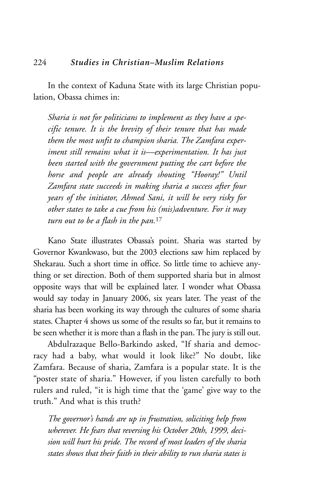In the context of Kaduna State with its large Christian population, Obassa chimes in:

*Sharia is not for politicians to implement as they have a specific tenure. It is the brevity of their tenure that has made them the most unfit to champion sharia. The Zamfara experiment still remains what it is—experimentation. It has just been started with the government putting the cart before the horse and people are already shouting "Hooray!" Until Zamfara state succeeds in making sharia a success after four years of the initiator, Ahmed Sani, it will be very risky for other states to take a cue from his (mis)adventure. For it may turn out to be a flash in the pan.*<sup>17</sup>

Kano State illustrates Obassa's point. Sharia was started by Governor Kwankwaso, but the 2003 elections saw him replaced by Shekarau. Such a short time in office. So little time to achieve anything or set direction. Both of them supported sharia but in almost opposite ways that will be explained later. I wonder what Obassa would say today in January 2006, six years later. The yeast of the sharia has been working its way through the cultures of some sharia states. Chapter 4 shows us some of the results so far, but it remains to be seen whether it is more than a flash in the pan. The jury is still out.

Abdulrazaque Bello-Barkindo asked, "If sharia and democracy had a baby, what would it look like?" No doubt, like Zamfara. Because of sharia, Zamfara is a popular state. It is the "poster state of sharia." However, if you listen carefully to both rulers and ruled, "it is high time that the 'game' give way to the truth." And what is this truth?

*The governor's hands are up in frustration, soliciting help from wherever. He fears that reversing his October 20th, 1999, decision will hurt his pride. The record of most leaders of the sharia states shows that their faith in their ability to run sharia states is*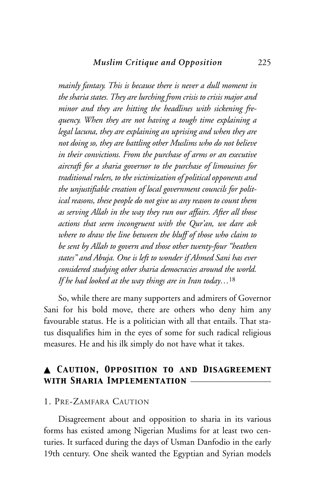*mainly fantasy. This is because there is never a dull moment in the sharia states. They are lurching from crisis to crisis major and minor and they are hitting the headlines with sickening frequency. When they are not having a tough time explaining a legal lacuna, they are explaining an uprising and when they are not doing so, they are battling other Muslims who do not believe in their convictions. From the purchase of arms or an executive aircraft for a sharia governor to the purchase of limousines for traditional rulers, to the victimization of political opponents and the unjustifiable creation of local government councils for political reasons, these people do not give us any reason to count them as serving Allah in the way they run our affairs. After all those actions that seem incongruent with the Qur'an, we dare ask where to draw the line between the bluff of those who claim to be sent by Allah to govern and those other twenty-four "heathen states" and Abuja. One is left to wonder if Ahmed Sani has ever considered studying other sharia democracies around the world. If he had looked at the way things are in Iran today…*<sup>18</sup>

So, while there are many supporters and admirers of Governor Sani for his bold move, there are others who deny him any favourable status. He is a politician with all that entails. That status disqualifies him in the eyes of some for such radical religious measures. He and his ilk simply do not have what it takes.

# ▲ *Caution, Opposition to and Disagreement with Sharia Implementation* \_\_\_\_\_\_\_\_\_\_\_\_\_\_\_\_\_\_\_\_

#### 1. PRE-ZAMFARA CAUTION

Disagreement about and opposition to sharia in its various forms has existed among Nigerian Muslims for at least two centuries. It surfaced during the days of Usman Danfodio in the early 19th century. One sheik wanted the Egyptian and Syrian models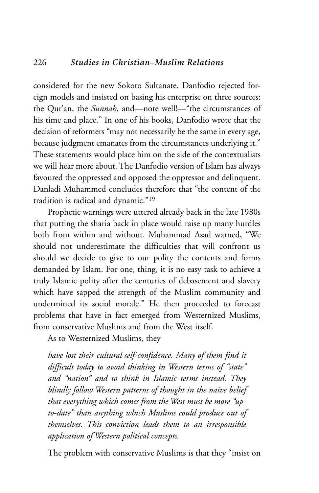considered for the new Sokoto Sultanate. Danfodio rejected foreign models and insisted on basing his enterprise on three sources: the Qur'an, the *Sunnah*, and—note well!—"the circumstances of his time and place." In one of his books, Danfodio wrote that the decision of reformers "may not necessarily be the same in every age, because judgment emanates from the circumstances underlying it." These statements would place him on the side of the contextualists we will hear more about. The Danfodio version of Islam has always favoured the oppressed and opposed the oppressor and delinquent. Danladi Muhammed concludes therefore that "the content of the tradition is radical and dynamic."19

Prophetic warnings were uttered already back in the late 1980s that putting the sharia back in place would raise up many hurdles both from within and without. Muhammad Asad warned, "We should not underestimate the difficulties that will confront us should we decide to give to our polity the contents and forms demanded by Islam. For one, thing, it is no easy task to achieve a truly Islamic polity after the centuries of debasement and slavery which have sapped the strength of the Muslim community and undermined its social morale." He then proceeded to forecast problems that have in fact emerged from Westernized Muslims, from conservative Muslims and from the West itself.

As to Westernized Muslims, they

*have lost their cultural self-confidence. Many of them find it difficult today to avoid thinking in Western terms of "state" and "nation" and to think in Islamic terms instead. They blindly follow Western patterns of thought in the naive belief that everything which comes from the West must be more "upto-date" than anything which Muslims could produce out of themselves. This conviction leads them to an irresponsible application of Western political concepts.*

The problem with conservative Muslims is that they "insist on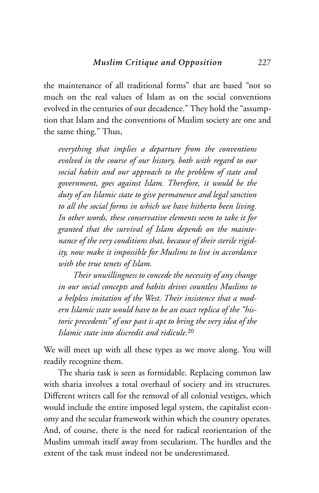the maintenance of all traditional forms" that are based "not so much on the real values of Islam as on the social conventions evolved in the centuries of our decadence." They hold the "assumption that Islam and the conventions of Muslim society are one and the same thing." Thus,

*everything that implies a departure from the conventions evolved in the course of our history, both with regard to our social habits and our approach to the problem of state and government, goes against Islam. Therefore, it would be the duty of an Islamic state to give permanence and legal sanction to all the social forms in which we have hitherto been living. In other words, these conservative elements seem to take it for granted that the survival of Islam depends on the maintenance of the very conditions that, because of their sterile rigidity, now make it impossible for Muslims to live in accordance with the true tenets of Islam.*

*Their unwillingness to concede the necessity of any change in our social concepts and habits drives countless Muslims to a helpless imitation of the West. Their insistence that a modern Islamic state would have to be an exact replica of the "historic precedents" of our past is apt to bring the very idea of the Islamic state into discredit and ridicule.*<sup>20</sup>

We will meet up with all these types as we move along. You will readily recognize them.

The sharia task is seen as formidable. Replacing common law with sharia involves a total overhaul of society and its structures. Different writers call for the removal of all colonial vestiges, which would include the entire imposed legal system, the capitalist economy and the secular framework within which the country operates. And, of course, there is the need for radical reorientation of the Muslim ummah itself away from secularism. The hurdles and the extent of the task must indeed not be underestimated.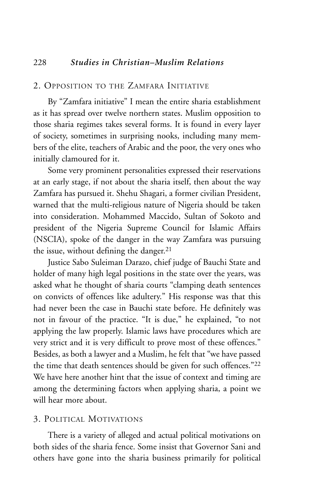## 2. OPPOSITION TO THE ZAMFARA INITIATIVE

By "Zamfara initiative" I mean the entire sharia establishment as it has spread over twelve northern states. Muslim opposition to those sharia regimes takes several forms. It is found in every layer of society, sometimes in surprising nooks, including many members of the elite, teachers of Arabic and the poor, the very ones who initially clamoured for it.

Some very prominent personalities expressed their reservations at an early stage, if not about the sharia itself, then about the way Zamfara has pursued it. Shehu Shagari, a former civilian President, warned that the multi-religious nature of Nigeria should be taken into consideration. Mohammed Maccido, Sultan of Sokoto and president of the Nigeria Supreme Council for Islamic Affairs (NSCIA), spoke of the danger in the way Zamfara was pursuing the issue, without defining the danger.<sup>21</sup>

Justice Sabo Suleiman Darazo, chief judge of Bauchi State and holder of many high legal positions in the state over the years, was asked what he thought of sharia courts "clamping death sentences on convicts of offences like adultery." His response was that this had never been the case in Bauchi state before. He definitely was not in favour of the practice. "It is due," he explained, "to not applying the law properly. Islamic laws have procedures which are very strict and it is very difficult to prove most of these offences." Besides, as both a lawyer and a Muslim, he felt that "we have passed the time that death sentences should be given for such offences."22 We have here another hint that the issue of context and timing are among the determining factors when applying sharia, a point we will hear more about.

# 3. POLITICAL MOTIVATIONS

There is a variety of alleged and actual political motivations on both sides of the sharia fence. Some insist that Governor Sani and others have gone into the sharia business primarily for political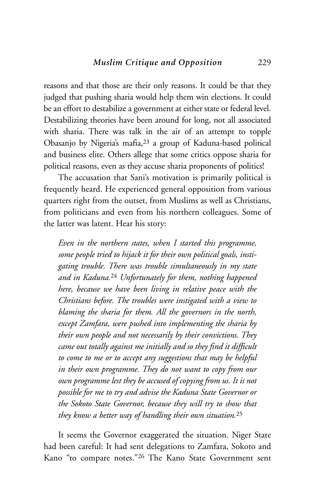reasons and that those are their only reasons. It could be that they judged that pushing sharia would help them win elections. It could be an effort to destabilize a government at either state or federal level. Destabilizing theories have been around for long, not all associated with sharia. There was talk in the air of an attempt to topple Obasanjo by Nigeria's mafia,23 a group of Kaduna-based political and business elite. Others allege that some critics oppose sharia for political reasons, even as they accuse sharia proponents of politics!

The accusation that Sani's motivation is primarily political is frequently heard. He experienced general opposition from various quarters right from the outset, from Muslims as well as Christians, from politicians and even from his northern colleagues. Some of the latter was latent. Hear his story:

*Even in the northern states, when I started this programme, some people tried to hijack it for their own political goals, instigating trouble. There was trouble simultaneously in my state and in Kaduna.*<sup>24</sup> *Unfortunately for them, nothing happened here, because we have been living in relative peace with the Christians before. The troubles were instigated with a view to blaming the sharia for them. All the governors in the north, except Zamfara, were pushed into implementing the sharia by their own people and not necessarily by their convictions. They came out totally against me initially and so they find it difficult to come to me or to accept any suggestions that may be helpful in their own programme. They do not want to copy from our own programme lest they be accused of copying from us. It is not possible for me to try and advise the Kaduna State Governor or the Sokoto State Governor, because they will try to show that they know a better way of handling their own situation.*<sup>25</sup>

It seems the Governor exaggerated the situation. Niger State had been careful: It had sent delegations to Zamfara, Sokoto and Kano "to compare notes."26 The Kano State Government sent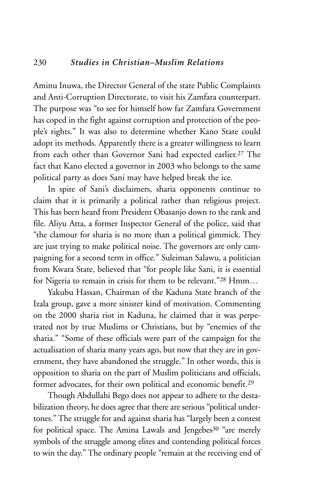Aminu Inuwa, the Director General of the state Public Complaints and Anti-Corruption Directorate, to visit his Zamfara counterpart. The purpose was "to see for himself how far Zamfara Government has coped in the fight against corruption and protection of the people's rights." It was also to determine whether Kano State could adopt its methods. Apparently there is a greater willingness to learn from each other than Governor Sani had expected earlier.27 The fact that Kano elected a governor in 2003 who belongs to the same political party as does Sani may have helped break the ice.

In spite of Sani's disclaimers, sharia opponents continue to claim that it is primarily a political rather than religious project. This has been heard from President Obasanjo down to the rank and file. Aliyu Atta, a former Inspector General of the police, said that "the clamour for sharia is no more than a political gimmick. They are just trying to make political noise. The governors are only campaigning for a second term in office." Suleiman Salawu, a politician from Kwara State, believed that "for people like Sani, it is essential for Nigeria to remain in crisis for them to be relevant."28 Hmm…

Yakubu Hassan, Chairman of the Kaduna State branch of the Izala group, gave a more sinister kind of motivation. Commenting on the 2000 sharia riot in Kaduna, he claimed that it was perpetrated not by true Muslims or Christians, but by "enemies of the sharia." "Some of these officials were part of the campaign for the actualisation of sharia many years ago, but now that they are in government, they have abandoned the struggle." In other words, this is opposition to sharia on the part of Muslim politicians and officials, former advocates, for their own political and economic benefit.29

Though Abdullahi Bego does not appear to adhere to the destabilization theory, he does agree that there are serious "political undertones." The struggle for and against sharia has "largely been a contest for political space. The Amina Lawals and Jengebes<sup>30</sup> "are merely symbols of the struggle among elites and contending political forces to win the day." The ordinary people "remain at the receiving end of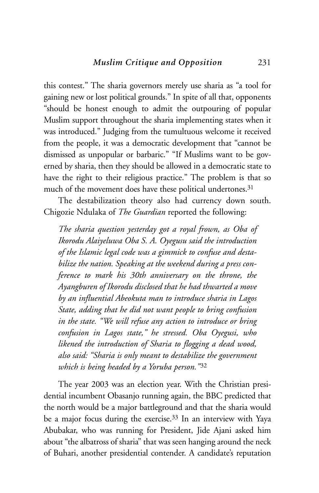this contest." The sharia governors merely use sharia as "a tool for gaining new or lost political grounds." In spite of all that, opponents "should be honest enough to admit the outpouring of popular Muslim support throughout the sharia implementing states when it was introduced." Judging from the tumultuous welcome it received from the people, it was a democratic development that "cannot be dismissed as unpopular or barbaric." "If Muslims want to be governed by sharia, then they should be allowed in a democratic state to have the right to their religious practice." The problem is that so much of the movement does have these political undertones.<sup>31</sup>

The destabilization theory also had currency down south. Chigozie Ndulaka of *The Guardian* reported the following:

*The sharia question yesterday got a royal frown, as Oba of Ikorodu Alaiyeluwa Oba S. A. Oyegusu said the introduction of the Islamic legal code was a gimmick to confuse and destabilize the nation. Speaking at the weekend during a press conference to mark his 30th anniversary on the throne, the Ayangburen of Ikorodu disclosed that he had thwarted a move by an influential Abeokuta man to introduce sharia in Lagos State, adding that he did not want people to bring confusion in the state. "We will refuse any action to introduce or bring confusion in Lagos state," he stressed. Oba Oyegusi, who likened the introduction of Sharia to flogging a dead wood, also said: "Sharia is only meant to destabilize the government which is being headed by a Yoruba person."*<sup>32</sup>

The year 2003 was an election year. With the Christian presidential incumbent Obasanjo running again, the BBC predicted that the north would be a major battleground and that the sharia would be a major focus during the exercise.33 In an interview with Yaya Abubakar, who was running for President, Jide Ajani asked him about "the albatross of sharia" that was seen hanging around the neck of Buhari, another presidential contender. A candidate's reputation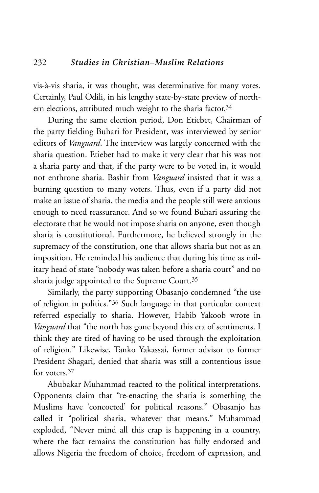vis-à-vis sharia, it was thought, was determinative for many votes. Certainly, Paul Odili, in his lengthy state-by-state preview of northern elections, attributed much weight to the sharia factor.<sup>34</sup>

During the same election period, Don Etiebet, Chairman of the party fielding Buhari for President, was interviewed by senior editors of *Vanguard*. The interview was largely concerned with the sharia question. Etiebet had to make it very clear that his was not a sharia party and that, if the party were to be voted in, it would not enthrone sharia. Bashir from *Vanguard* insisted that it was a burning question to many voters. Thus, even if a party did not make an issue of sharia, the media and the people still were anxious enough to need reassurance. And so we found Buhari assuring the electorate that he would not impose sharia on anyone, even though sharia is constitutional. Furthermore, he believed strongly in the supremacy of the constitution, one that allows sharia but not as an imposition. He reminded his audience that during his time as military head of state "nobody was taken before a sharia court" and no sharia judge appointed to the Supreme Court.35

Similarly, the party supporting Obasanjo condemned "the use of religion in politics."36 Such language in that particular context referred especially to sharia. However, Habib Yakoob wrote in *Vanguard* that "the north has gone beyond this era of sentiments. I think they are tired of having to be used through the exploitation of religion." Likewise, Tanko Yakassai, former advisor to former President Shagari, denied that sharia was still a contentious issue for voters.<sup>37</sup>

Abubakar Muhammad reacted to the political interpretations. Opponents claim that "re-enacting the sharia is something the Muslims have 'concocted' for political reasons." Obasanjo has called it "political sharia, whatever that means." Muhammad exploded, "Never mind all this crap is happening in a country, where the fact remains the constitution has fully endorsed and allows Nigeria the freedom of choice, freedom of expression, and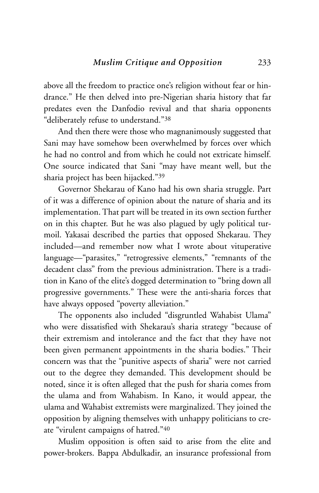above all the freedom to practice one's religion without fear or hindrance." He then delved into pre-Nigerian sharia history that far predates even the Danfodio revival and that sharia opponents "deliberately refuse to understand."38

And then there were those who magnanimously suggested that Sani may have somehow been overwhelmed by forces over which he had no control and from which he could not extricate himself. One source indicated that Sani "may have meant well, but the sharia project has been hijacked."39

Governor Shekarau of Kano had his own sharia struggle. Part of it was a difference of opinion about the nature of sharia and its implementation. That part will be treated in its own section further on in this chapter. But he was also plagued by ugly political turmoil. Yakasai described the parties that opposed Shekarau. They included—and remember now what I wrote about vituperative language—"parasites," "retrogressive elements," "remnants of the decadent class" from the previous administration. There is a tradition in Kano of the elite's dogged determination to "bring down all progressive governments." These were the anti-sharia forces that have always opposed "poverty alleviation."

The opponents also included "disgruntled Wahabist Ulama" who were dissatisfied with Shekarau's sharia strategy "because of their extremism and intolerance and the fact that they have not been given permanent appointments in the sharia bodies." Their concern was that the "punitive aspects of sharia" were not carried out to the degree they demanded. This development should be noted, since it is often alleged that the push for sharia comes from the ulama and from Wahabism. In Kano, it would appear, the ulama and Wahabist extremists were marginalized. They joined the opposition by aligning themselves with unhappy politicians to create "virulent campaigns of hatred."40

Muslim opposition is often said to arise from the elite and power-brokers. Bappa Abdulkadir, an insurance professional from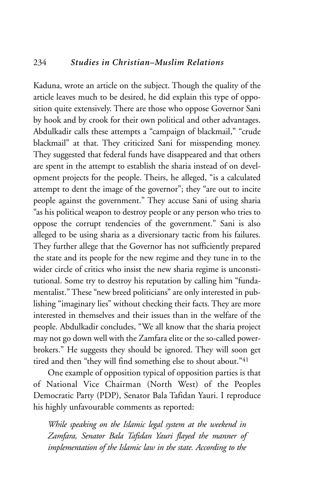#### 234 *Studies in Christian–Muslim Relations*

Kaduna, wrote an article on the subject. Though the quality of the article leaves much to be desired, he did explain this type of opposition quite extensively. There are those who oppose Governor Sani by hook and by crook for their own political and other advantages. Abdulkadir calls these attempts a "campaign of blackmail," "crude blackmail" at that. They criticized Sani for misspending money. They suggested that federal funds have disappeared and that others are spent in the attempt to establish the sharia instead of on development projects for the people. Theirs, he alleged, "is a calculated attempt to dent the image of the governor"; they "are out to incite people against the government." They accuse Sani of using sharia "as his political weapon to destroy people or any person who tries to oppose the corrupt tendencies of the government." Sani is also alleged to be using sharia as a diversionary tactic from his failures. They further allege that the Governor has not sufficiently prepared the state and its people for the new regime and they tune in to the wider circle of critics who insist the new sharia regime is unconstitutional. Some try to destroy his reputation by calling him "fundamentalist." These "new breed politicians" are only interested in publishing "imaginary lies" without checking their facts. They are more interested in themselves and their issues than in the welfare of the people. Abdulkadir concludes, "We all know that the sharia project may not go down well with the Zamfara elite or the so-called powerbrokers." He suggests they should be ignored. They will soon get tired and then "they will find something else to shout about."41

One example of opposition typical of opposition parties is that of National Vice Chairman (North West) of the Peoples Democratic Party (PDP), Senator Bala Tafidan Yauri. I reproduce his highly unfavourable comments as reported:

*While speaking on the Islamic legal system at the weekend in Zamfara, Senator Bala Tafidan Yauri flayed the manner of implementation of the Islamic law in the state. According to the*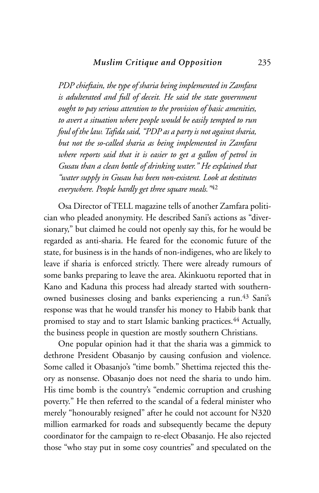*PDP chieftain, the type of sharia being implemented in Zamfara is adulterated and full of deceit. He said the state government ought to pay serious attention to the provision of basic amenities, to avert a situation where people would be easily tempted to run foul of the law. Tafida said, "PDP as a party is not against sharia, but not the so-called sharia as being implemented in Zamfara where reports said that it is easier to get a gallon of petrol in Gusau than a clean bottle of drinking water." He explained that "water supply in Gusau has been non-existent. Look at destitutes everywhere. People hardly get three square meals."*<sup>42</sup>

Osa Director of TELL magazine tells of another Zamfara politician who pleaded anonymity. He described Sani's actions as "diversionary," but claimed he could not openly say this, for he would be regarded as anti-sharia. He feared for the economic future of the state, for business is in the hands of non-indigenes, who are likely to leave if sharia is enforced strictly. There were already rumours of some banks preparing to leave the area. Akinkuotu reported that in Kano and Kaduna this process had already started with southernowned businesses closing and banks experiencing a run.<sup>43</sup> Sani's response was that he would transfer his money to Habib bank that promised to stay and to start Islamic banking practices.<sup>44</sup> Actually, the business people in question are mostly southern Christians.

One popular opinion had it that the sharia was a gimmick to dethrone President Obasanjo by causing confusion and violence. Some called it Obasanjo's "time bomb." Shettima rejected this theory as nonsense. Obasanjo does not need the sharia to undo him. His time bomb is the country's "endemic corruption and crushing poverty." He then referred to the scandal of a federal minister who merely "honourably resigned" after he could not account for N320 million earmarked for roads and subsequently became the deputy coordinator for the campaign to re-elect Obasanjo. He also rejected those "who stay put in some cosy countries" and speculated on the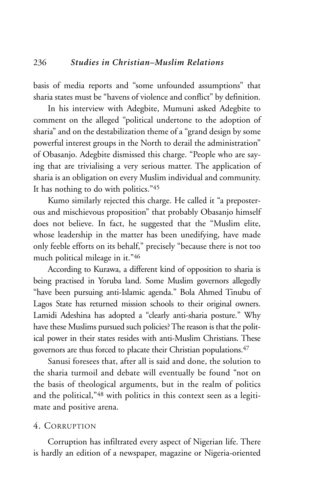basis of media reports and "some unfounded assumptions" that sharia states must be "havens of violence and conflict" by definition.

In his interview with Adegbite, Mumuni asked Adegbite to comment on the alleged "political undertone to the adoption of sharia" and on the destabilization theme of a "grand design by some powerful interest groups in the North to derail the administration" of Obasanjo. Adegbite dismissed this charge. "People who are saying that are trivialising a very serious matter. The application of sharia is an obligation on every Muslim individual and community. It has nothing to do with politics."45

Kumo similarly rejected this charge. He called it "a preposterous and mischievous proposition" that probably Obasanjo himself does not believe. In fact, he suggested that the "Muslim elite, whose leadership in the matter has been unedifying, have made only feeble efforts on its behalf," precisely "because there is not too much political mileage in it."46

According to Kurawa, a different kind of opposition to sharia is being practised in Yoruba land. Some Muslim governors allegedly "have been pursuing anti-Islamic agenda." Bola Ahmed Tinubu of Lagos State has returned mission schools to their original owners. Lamidi Adeshina has adopted a "clearly anti-sharia posture." Why have these Muslims pursued such policies? The reason is that the political power in their states resides with anti-Muslim Christians. These governors are thus forced to placate their Christian populations.47

Sanusi foresees that, after all is said and done, the solution to the sharia turmoil and debate will eventually be found "not on the basis of theological arguments, but in the realm of politics and the political,"48 with politics in this context seen as a legitimate and positive arena.

#### 4. CORRUPTION

Corruption has infiltrated every aspect of Nigerian life. There is hardly an edition of a newspaper, magazine or Nigeria-oriented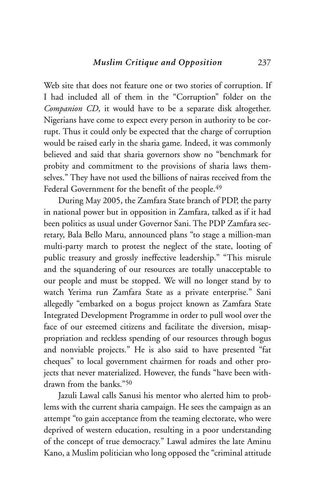Web site that does not feature one or two stories of corruption. If I had included all of them in the "Corruption" folder on the *Companion CD*, it would have to be a separate disk altogether. Nigerians have come to expect every person in authority to be corrupt. Thus it could only be expected that the charge of corruption would be raised early in the sharia game. Indeed, it was commonly believed and said that sharia governors show no "benchmark for probity and commitment to the provisions of sharia laws themselves." They have not used the billions of nairas received from the Federal Government for the benefit of the people.<sup>49</sup>

During May 2005, the Zamfara State branch of PDP, the party in national power but in opposition in Zamfara, talked as if it had been politics as usual under Governor Sani. The PDP Zamfara secretary, Bala Bello Maru, announced plans "to stage a million-man multi-party march to protest the neglect of the state, looting of public treasury and grossly ineffective leadership." "This misrule and the squandering of our resources are totally unacceptable to our people and must be stopped. We will no longer stand by to watch Yerima run Zamfara State as a private enterprise." Sani allegedly "embarked on a bogus project known as Zamfara State Integrated Development Programme in order to pull wool over the face of our esteemed citizens and facilitate the diversion, misappropriation and reckless spending of our resources through bogus and nonviable projects." He is also said to have presented "fat cheques" to local government chairmen for roads and other projects that never materialized. However, the funds "have been withdrawn from the banks."50

Jazuli Lawal calls Sanusi his mentor who alerted him to problems with the current sharia campaign. He sees the campaign as an attempt "to gain acceptance from the teaming electorate, who were deprived of western education, resulting in a poor understanding of the concept of true democracy." Lawal admires the late Aminu Kano, a Muslim politician who long opposed the "criminal attitude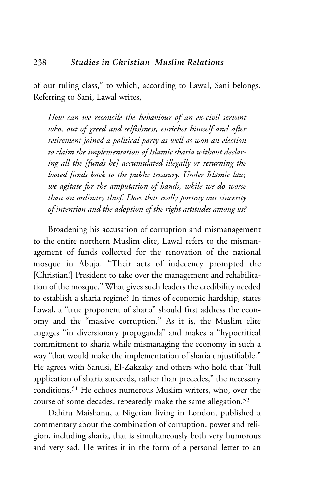of our ruling class," to which, according to Lawal, Sani belongs. Referring to Sani, Lawal writes,

*How can we reconcile the behaviour of an ex-civil servant who, out of greed and selfishness, enriches himself and after retirement joined a political party as well as won an election to claim the implementation of Islamic sharia without declaring all the [funds he] accumulated illegally or returning the looted funds back to the public treasury. Under Islamic law, we agitate for the amputation of hands, while we do worse than an ordinary thief. Does that really portray our sincerity of intention and the adoption of the right attitudes among us?*

Broadening his accusation of corruption and mismanagement to the entire northern Muslim elite, Lawal refers to the mismanagement of funds collected for the renovation of the national mosque in Abuja. "Their acts of indecency prompted the [Christian!] President to take over the management and rehabilitation of the mosque." What gives such leaders the credibility needed to establish a sharia regime? In times of economic hardship, states Lawal, a "true proponent of sharia" should first address the economy and the "massive corruption." As it is, the Muslim elite engages "in diversionary propaganda" and makes a "hypocritical commitment to sharia while mismanaging the economy in such a way "that would make the implementation of sharia unjustifiable." He agrees with Sanusi, El-Zakzaky and others who hold that "full application of sharia succeeds, rather than precedes," the necessary conditions.51 He echoes numerous Muslim writers, who, over the course of some decades, repeatedly make the same allegation.<sup>52</sup>

Dahiru Maishanu, a Nigerian living in London, published a commentary about the combination of corruption, power and religion, including sharia, that is simultaneously both very humorous and very sad. He writes it in the form of a personal letter to an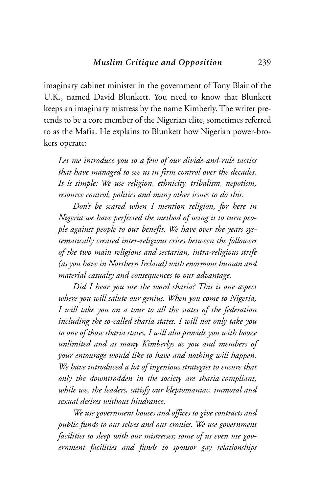imaginary cabinet minister in the government of Tony Blair of the U.K., named David Blunkett. You need to know that Blunkett keeps an imaginary mistress by the name Kimberly. The writer pretends to be a core member of the Nigerian elite, sometimes referred to as the Mafia. He explains to Blunkett how Nigerian power-brokers operate:

*Let me introduce you to a few of our divide-and-rule tactics that have managed to see us in firm control over the decades. It is simple: We use religion, ethnicity, tribalism, nepotism, resource control, politics and many other issues to do this.* 

*Don't be scared when I mention religion, for here in Nigeria we have perfected the method of using it to turn people against people to our benefit. We have over the years systematically created inter-religious crises between the followers of the two main religions and sectarian, intra-religious strife (as you have in Northern Ireland) with enormous human and material casualty and consequences to our advantage.* 

*Did I hear you use the word sharia? This is one aspect where you will salute our genius. When you come to Nigeria, I will take you on a tour to all the states of the federation including the so-called sharia states. I will not only take you to one of those sharia states, I will also provide you with booze unlimited and as many Kimberlys as you and members of your entourage would like to have and nothing will happen. We have introduced a lot of ingenious strategies to ensure that only the downtrodden in the society are sharia-compliant, while we, the leaders, satisfy our kleptomaniac, immoral and sexual desires without hindrance.*

*We use government houses and offices to give contracts and public funds to our selves and our cronies. We use government facilities to sleep with our mistresses; some of us even use government facilities and funds to sponsor gay relationships*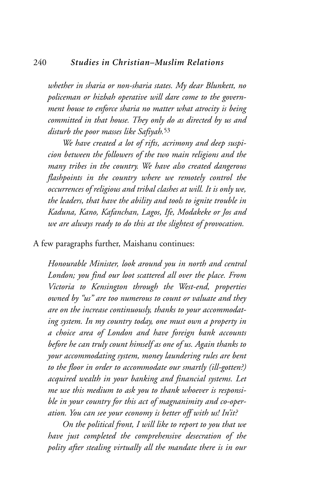*whether in sharia or non-sharia states. My dear Blunkett, no policeman or hizbah operative will dare come to the government house to enforce sharia no matter what atrocity is being committed in that house. They only do as directed by us and disturb the poor masses like Safiyah.*<sup>53</sup>

*We have created a lot of rifts, acrimony and deep suspicion between the followers of the two main religions and the many tribes in the country. We have also created dangerous flashpoints in the country where we remotely control the occurrences of religious and tribal clashes at will. It is only we, the leaders, that have the ability and tools to ignite trouble in Kaduna, Kano, Kafanchan, Lagos, Ife, Modakeke or Jos and we are always ready to do this at the slightest of provocation.*

A few paragraphs further, Maishanu continues:

*Honourable Minister, look around you in north and central London; you find our loot scattered all over the place. From Victoria to Kensington through the West-end, properties owned by "us" are too numerous to count or valuate and they are on the increase continuously, thanks to your accommodating system. In my country today, one must own a property in a choice area of London and have foreign bank accounts before he can truly count himself as one of us. Again thanks to your accommodating system, money laundering rules are bent to the floor in order to accommodate our smartly (ill-gotten?) acquired wealth in your banking and financial systems. Let me use this medium to ask you to thank whoever is responsible in your country for this act of magnanimity and co-operation. You can see your economy is better off with us! In'it?*

*On the political front, I will like to report to you that we have just completed the comprehensive desecration of the polity after stealing virtually all the mandate there is in our*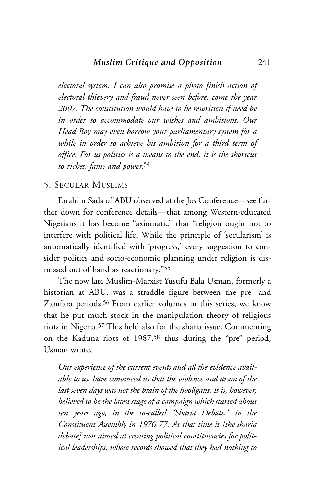*electoral system. I can also promise a photo finish action of electoral thievery and fraud never seen before, come the year 2007. The constitution would have to be rewritten if need be in order to accommodate our wishes and ambitions. Our Head Boy may even borrow your parliamentary system for a while in order to achieve his ambition for a third term of office. For us politics is a means to the end; it is the shortcut to riches, fame and power.*<sup>54</sup>

#### 5. SECULAR MUSLIMS

Ibrahim Sada of ABU observed at the Jos Conference—see further down for conference details—that among Western-educated Nigerians it has become "axiomatic" that "religion ought not to interfere with political life. While the principle of 'secularism' is automatically identified with 'progress,' every suggestion to consider politics and socio-economic planning under religion is dismissed out of hand as reactionary."55

The now late Muslim-Marxist Yusufu Bala Usman, formerly a historian at ABU, was a straddle figure between the pre- and Zamfara periods.56 From earlier volumes in this series, we know that he put much stock in the manipulation theory of religious riots in Nigeria.57 This held also for the sharia issue. Commenting on the Kaduna riots of 1987,58 thus during the "pre" period, Usman wrote,

*Our experience of the current events and all the evidence available to us, have convinced us that the violence and arson of the last seven days was not the brain of the hooligans. It is, however, believed to be the latest stage of a campaign which started about ten years ago, in the so-called "Sharia Debate," in the Constituent Assembly in 1976-77. At that time it [the sharia debate] was aimed at creating political constituencies for political leaderships, whose records showed that they had nothing to*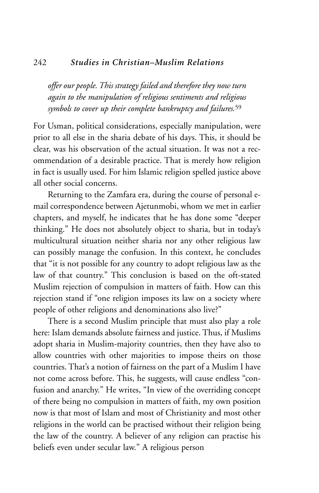#### 242 *Studies in Christian–Muslim Relations*

*offer our people. This strategy failed and therefore they now turn again to the manipulation of religious sentiments and religious symbols to cover up their complete bankruptcy and failures.*<sup>59</sup>

For Usman, political considerations, especially manipulation, were prior to all else in the sharia debate of his days. This, it should be clear, was his observation of the actual situation. It was not a recommendation of a desirable practice. That is merely how religion in fact is usually used. For him Islamic religion spelled justice above all other social concerns.

Returning to the Zamfara era, during the course of personal email correspondence between Ajetunmobi, whom we met in earlier chapters, and myself, he indicates that he has done some "deeper thinking." He does not absolutely object to sharia, but in today's multicultural situation neither sharia nor any other religious law can possibly manage the confusion. In this context, he concludes that "it is not possible for any country to adopt religious law as the law of that country." This conclusion is based on the oft-stated Muslim rejection of compulsion in matters of faith. How can this rejection stand if "one religion imposes its law on a society where people of other religions and denominations also live?"

There is a second Muslim principle that must also play a role here: Islam demands absolute fairness and justice. Thus, if Muslims adopt sharia in Muslim-majority countries, then they have also to allow countries with other majorities to impose theirs on those countries. That's a notion of fairness on the part of a Muslim I have not come across before. This, he suggests, will cause endless "confusion and anarchy." He writes, "In view of the overriding concept of there being no compulsion in matters of faith, my own position now is that most of Islam and most of Christianity and most other religions in the world can be practised without their religion being the law of the country. A believer of any religion can practise his beliefs even under secular law." A religious person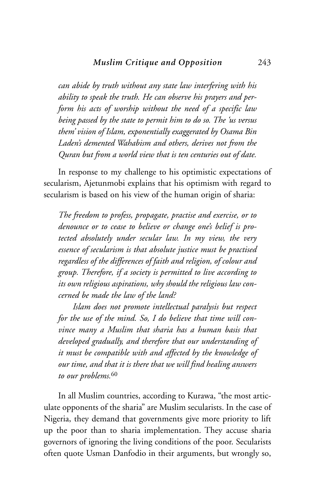*can abide by truth without any state law interfering with his ability to speak the truth. He can observe his prayers and perform his acts of worship without the need of a specific law being passed by the state to permit him to do so. The 'us versus them' vision of Islam, exponentially exaggerated by Osama Bin Laden's demented Wahabism and others, derives not from the Quran but from a world view that is ten centuries out of date.*

In response to my challenge to his optimistic expectations of secularism, Ajetunmobi explains that his optimism with regard to secularism is based on his view of the human origin of sharia:

*The freedom to profess, propagate, practise and exercise, or to denounce or to cease to believe or change one's belief is protected absolutely under secular law. In my view, the very essence of secularism is that absolute justice must be practised regardless of the differences of faith and religion, of colour and group. Therefore, if a society is permitted to live according to its own religious aspirations, why should the religious law concerned be made the law of the land?*

*Islam does not promote intellectual paralysis but respect for the use of the mind. So, I do believe that time will convince many a Muslim that sharia has a human basis that developed gradually, and therefore that our understanding of it must be compatible with and affected by the knowledge of our time, and that it is there that we will find healing answers to our problems.*<sup>60</sup>

In all Muslim countries, according to Kurawa, "the most articulate opponents of the sharia" are Muslim secularists. In the case of Nigeria, they demand that governments give more priority to lift up the poor than to sharia implementation. They accuse sharia governors of ignoring the living conditions of the poor. Secularists often quote Usman Danfodio in their arguments, but wrongly so,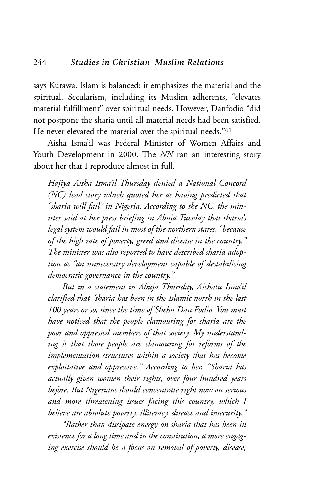says Kurawa. Islam is balanced: it emphasizes the material and the spiritual. Secularism, including its Muslim adherents, "elevates material fulfillment" over spiritual needs. However, Danfodio "did not postpone the sharia until all material needs had been satisfied. He never elevated the material over the spiritual needs."61

Aisha Isma'il was Federal Minister of Women Affairs and Youth Development in 2000. The *NN* ran an interesting story about her that I reproduce almost in full.

*Hajiya Aisha Isma'il Thursday denied a National Concord (NC) lead story which quoted her as having predicted that "sharia will fail" in Nigeria. According to the NC, the minister said at her press briefing in Abuja Tuesday that sharia's legal system would fail in most of the northern states, "because of the high rate of poverty, greed and disease in the country." The minister was also reported to have described sharia adoption as "an unnecessary development capable of destabilising democratic governance in the country."*

*But in a statement in Abuja Thursday, Aishatu Isma'il clarified that "sharia has been in the Islamic north in the last 100 years or so, since the time of Shehu Dan Fodio. You must have noticed that the people clamouring for sharia are the poor and oppressed members of that society. My understanding is that those people are clamouring for reforms of the implementation structures within a society that has become exploitative and oppressive." According to her, "Sharia has actually given women their rights, over four hundred years before. But Nigerians should concentrate right now on serious and more threatening issues facing this country, which I believe are absolute poverty, illiteracy, disease and insecurity."*

*"Rather than dissipate energy on sharia that has been in existence for a long time and in the constitution, a more engaging exercise should be a focus on removal of poverty, disease,*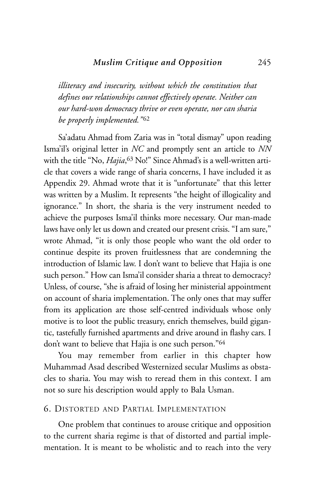#### *Muslim Critique and Opposition* 245

*illiteracy and insecurity, without which the constitution that defines our relationships cannot effectively operate. Neither can our hard-won democracy thrive or even operate, nor can sharia be properly implemented.*"<sup>62</sup>

Sa'adatu Ahmad from Zaria was in "total dismay" upon reading Isma'il's original letter in *NC* and promptly sent an article to *NN* with the title "No, *Hajia*,63 No!" Since Ahmad's is a well-written article that covers a wide range of sharia concerns, I have included it as Appendix 29. Ahmad wrote that it is "unfortunate" that this letter was written by a Muslim. It represents "the height of illogicality and ignorance." In short, the sharia is the very instrument needed to achieve the purposes Isma'il thinks more necessary. Our man-made laws have only let us down and created our present crisis. "I am sure," wrote Ahmad, "it is only those people who want the old order to continue despite its proven fruitlessness that are condemning the introduction of Islamic law. I don't want to believe that Hajia is one such person." How can Isma'il consider sharia a threat to democracy? Unless, of course, "she is afraid of losing her ministerial appointment on account of sharia implementation. The only ones that may suffer from its application are those self-centred individuals whose only motive is to loot the public treasury, enrich themselves, build gigantic, tastefully furnished apartments and drive around in flashy cars. I don't want to believe that Hajia is one such person."64

You may remember from earlier in this chapter how Muhammad Asad described Westernized secular Muslims as obstacles to sharia. You may wish to reread them in this context. I am not so sure his description would apply to Bala Usman.

#### 6. DISTORTED AND PARTIAL IMPLEMENTATION

One problem that continues to arouse critique and opposition to the current sharia regime is that of distorted and partial implementation. It is meant to be wholistic and to reach into the very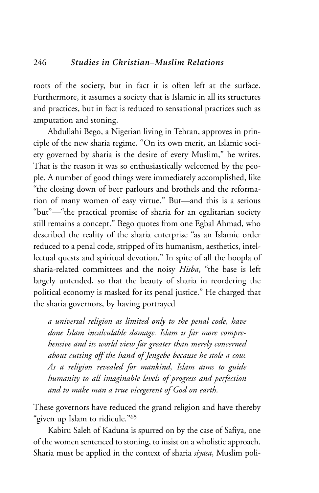roots of the society, but in fact it is often left at the surface. Furthermore, it assumes a society that is Islamic in all its structures and practices, but in fact is reduced to sensational practices such as amputation and stoning.

Abdullahi Bego, a Nigerian living in Tehran, approves in principle of the new sharia regime. "On its own merit, an Islamic society governed by sharia is the desire of every Muslim," he writes. That is the reason it was so enthusiastically welcomed by the people. A number of good things were immediately accomplished, like "the closing down of beer parlours and brothels and the reformation of many women of easy virtue." But—and this is a serious "but"—"the practical promise of sharia for an egalitarian society still remains a concept." Bego quotes from one Egbal Ahmad, who described the reality of the sharia enterprise "as an Islamic order reduced to a penal code, stripped of its humanism, aesthetics, intellectual quests and spiritual devotion." In spite of all the hoopla of sharia-related committees and the noisy *Hisba*, "the base is left largely untended, so that the beauty of sharia in reordering the political economy is masked for its penal justice." He charged that the sharia governors, by having portrayed

*a universal religion as limited only to the penal code, have done Islam incalculable damage. Islam is far more comprehensive and its world view far greater than merely concerned about cutting off the hand of Jengebe because he stole a cow. As a religion revealed for mankind, Islam aims to guide humanity to all imaginable levels of progress and perfection and to make man a true vicegerent of God on earth.* 

These governors have reduced the grand religion and have thereby "given up Islam to ridicule."65

Kabiru Saleh of Kaduna is spurred on by the case of Safiya, one of the women sentenced to stoning, to insist on a wholistic approach. Sharia must be applied in the context of sharia *siyasa*, Muslim poli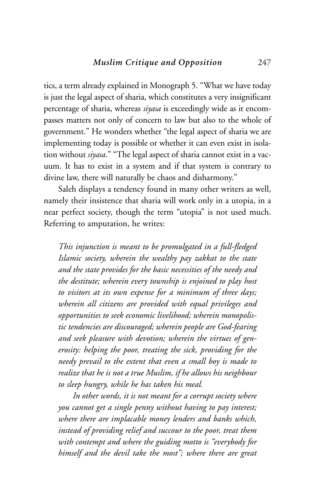tics, a term already explained in Monograph 5. "What we have today is just the legal aspect of sharia, which constitutes a very insignificant percentage of sharia, whereas *siyasa* is exceedingly wide as it encompasses matters not only of concern to law but also to the whole of government." He wonders whether "the legal aspect of sharia we are implementing today is possible or whether it can even exist in isolation without *siyasa*." "The legal aspect of sharia cannot exist in a vacuum. It has to exist in a system and if that system is contrary to divine law, there will naturally be chaos and disharmony."

Saleh displays a tendency found in many other writers as well, namely their insistence that sharia will work only in a utopia, in a near perfect society, though the term "utopia" is not used much. Referring to amputation, he writes:

*This injunction is meant to be promulgated in a full-fledged Islamic society, wherein the wealthy pay zakkat to the state and the state provides for the basic necessities of the needy and the destitute; wherein every township is enjoined to play host to visitors at its own expense for a minimum of three days; wherein all citizens are provided with equal privileges and opportunities to seek economic livelihood; wherein monopolistic tendencies are discouraged; wherein people are God-fearing and seek pleasure with devotion; wherein the virtues of generosity: helping the poor, treating the sick, providing for the needy prevail to the extent that even a small boy is made to realize that he is not a true Muslim, if he allows his neighbour to sleep hungry, while he has taken his meal.*

*In other words, it is not meant for a corrupt society where you cannot get a single penny without having to pay interest; where there are implacable money lenders and banks which, instead of providing relief and succour to the poor, treat them with contempt and where the guiding motto is "everybody for himself and the devil take the most"; where there are great*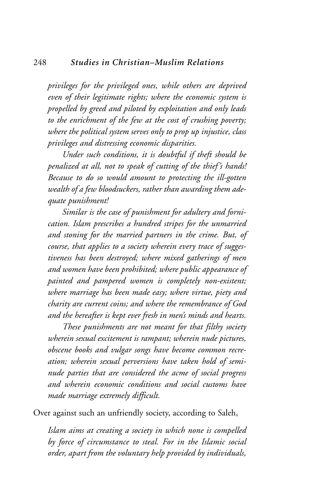*privileges for the privileged ones, while others are deprived even of their legitimate rights; where the economic system is propelled by greed and piloted by exploitation and only leads to the enrichment of the few at the cost of crushing poverty; where the political system serves only to prop up injustice, class privileges and distressing economic disparities.*

*Under such conditions, it is doubtful if theft should be penalized at all, not to speak of cutting of the thief's hands! Because to do so would amount to protecting the ill-gotten wealth of a few bloodsuckers, rather than awarding them adequate punishment!*

*Similar is the case of punishment for adultery and fornication. Islam prescribes a hundred stripes for the unmarried and stoning for the married partners in the crime. But, of course, that applies to a society wherein every trace of suggestiveness has been destroyed; where mixed gatherings of men and women have been prohibited; where public appearance of painted and pampered women is completely non-existent; where marriage has been made easy; where virtue, piety and charity are current coins; and where the remembrance of God and the hereafter is kept ever fresh in men's minds and hearts.*

*These punishments are not meant for that filthy society wherein sexual excitement is rampant; wherein nude pictures, obscene books and vulgar songs have become common recreation; wherein sexual perversions have taken hold of seminude parties that are considered the acme of social progress and wherein economic conditions and social customs have made marriage extremely difficult.*

Over against such an unfriendly society, according to Saleh,

*Islam aims at creating a society in which none is compelled by force of circumstance to steal. For in the Islamic social order, apart from the voluntary help provided by individuals,*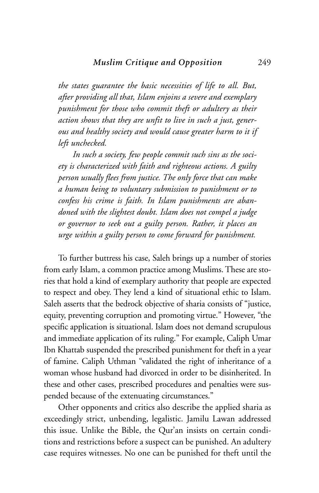*the states guarantee the basic necessities of life to all. But, after providing all that, Islam enjoins a severe and exemplary punishment for those who commit theft or adultery as their action shows that they are unfit to live in such a just, generous and healthy society and would cause greater harm to it if left unchecked.*

*In such a society, few people commit such sins as the society is characterized with faith and righteous actions. A guilty person usually flees from justice. The only force that can make a human being to voluntary submission to punishment or to confess his crime is faith. In Islam punishments are abandoned with the slightest doubt. Islam does not compel a judge or governor to seek out a guilty person. Rather, it places an urge within a guilty person to come forward for punishment.* 

To further buttress his case, Saleh brings up a number of stories from early Islam, a common practice among Muslims. These are stories that hold a kind of exemplary authority that people are expected to respect and obey. They lend a kind of situational ethic to Islam. Saleh asserts that the bedrock objective of sharia consists of "justice, equity, preventing corruption and promoting virtue." However, "the specific application is situational. Islam does not demand scrupulous and immediate application of its ruling." For example, Caliph Umar Ibn Khattab suspended the prescribed punishment for theft in a year of famine. Caliph Uthman "validated the right of inheritance of a woman whose husband had divorced in order to be disinherited. In these and other cases, prescribed procedures and penalties were suspended because of the extenuating circumstances."

Other opponents and critics also describe the applied sharia as exceedingly strict, unbending, legalistic. Jamilu Lawan addressed this issue. Unlike the Bible, the Qur'an insists on certain conditions and restrictions before a suspect can be punished. An adultery case requires witnesses. No one can be punished for theft until the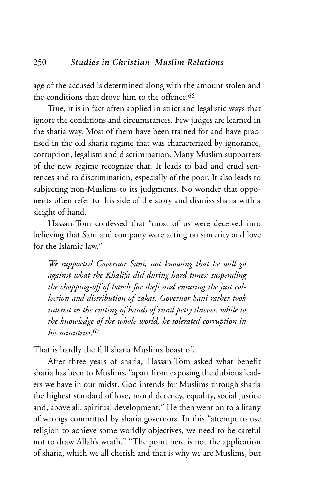age of the accused is determined along with the amount stolen and the conditions that drove him to the offence.<sup>66</sup>

True, it is in fact often applied in strict and legalistic ways that ignore the conditions and circumstances. Few judges are learned in the sharia way. Most of them have been trained for and have practised in the old sharia regime that was characterized by ignorance, corruption, legalism and discrimination. Many Muslim supporters of the new regime recognize that. It leads to bad and cruel sentences and to discrimination, especially of the poor. It also leads to subjecting non-Muslims to its judgments. No wonder that opponents often refer to this side of the story and dismiss sharia with a sleight of hand.

Hassan-Tom confessed that "most of us were deceived into believing that Sani and company were acting on sincerity and love for the Islamic law."

*We supported Governor Sani, not knowing that he will go against what the Khalifa did during hard times: suspending the chopping-off of hands for theft and ensuring the just collection and distribution of zakat. Governor Sani rather took interest in the cutting of hands of rural petty thieves, while to the knowledge of the whole world, he tolerated corruption in his ministries.*<sup>67</sup>

That is hardly the full sharia Muslims boast of.

After three years of sharia, Hassan-Tom asked what benefit sharia has been to Muslims, "apart from exposing the dubious leaders we have in our midst. God intends for Muslims through sharia the highest standard of love, moral decency, equality, social justice and, above all, spiritual development." He then went on to a litany of wrongs committed by sharia governors. In this "attempt to use religion to achieve some worldly objectives, we need to be careful not to draw Allah's wrath." "The point here is not the application of sharia, which we all cherish and that is why we are Muslims, but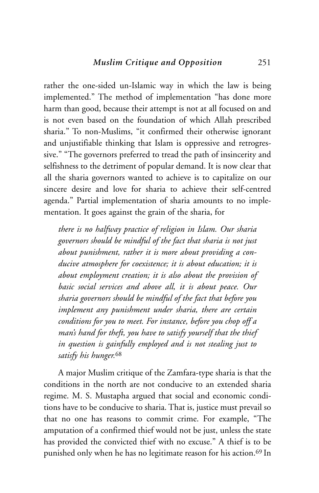rather the one-sided un-Islamic way in which the law is being implemented." The method of implementation "has done more harm than good, because their attempt is not at all focused on and is not even based on the foundation of which Allah prescribed sharia." To non-Muslims, "it confirmed their otherwise ignorant and unjustifiable thinking that Islam is oppressive and retrogressive." "The governors preferred to tread the path of insincerity and selfishness to the detriment of popular demand. It is now clear that all the sharia governors wanted to achieve is to capitalize on our sincere desire and love for sharia to achieve their self-centred agenda." Partial implementation of sharia amounts to no implementation. It goes against the grain of the sharia, for

*there is no halfway practice of religion in Islam. Our sharia governors should be mindful of the fact that sharia is not just about punishment, rather it is more about providing a conducive atmosphere for coexistence; it is about education; it is about employment creation; it is also about the provision of basic social services and above all, it is about peace. Our sharia governors should be mindful of the fact that before you implement any punishment under sharia, there are certain conditions for you to meet. For instance, before you chop off a man's hand for theft, you have to satisfy yourself that the thief in question is gainfully employed and is not stealing just to satisfy his hunger.*<sup>68</sup>

A major Muslim critique of the Zamfara-type sharia is that the conditions in the north are not conducive to an extended sharia regime. M. S. Mustapha argued that social and economic conditions have to be conducive to sharia. That is, justice must prevail so that no one has reasons to commit crime. For example, "The amputation of a confirmed thief would not be just, unless the state has provided the convicted thief with no excuse." A thief is to be punished only when he has no legitimate reason for his action.<sup>69</sup> In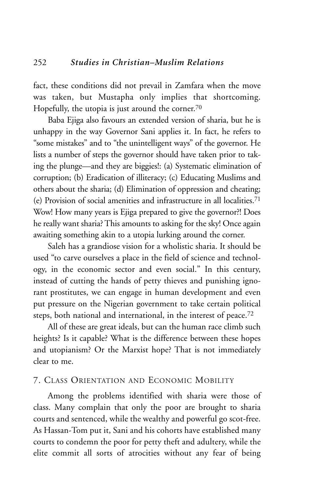fact, these conditions did not prevail in Zamfara when the move was taken, but Mustapha only implies that shortcoming. Hopefully, the utopia is just around the corner.<sup>70</sup>

Baba Ejiga also favours an extended version of sharia, but he is unhappy in the way Governor Sani applies it. In fact, he refers to "some mistakes" and to "the unintelligent ways" of the governor. He lists a number of steps the governor should have taken prior to taking the plunge—and they are biggies!: (a) Systematic elimination of corruption; (b) Eradication of illiteracy; (c) Educating Muslims and others about the sharia; (d) Elimination of oppression and cheating; (e) Provision of social amenities and infrastructure in all localities.71 Wow! How many years is Ejiga prepared to give the governor?! Does he really want sharia? This amounts to asking for the sky! Once again awaiting something akin to a utopia lurking around the corner.

Saleh has a grandiose vision for a wholistic sharia. It should be used "to carve ourselves a place in the field of science and technology, in the economic sector and even social." In this century, instead of cutting the hands of petty thieves and punishing ignorant prostitutes, we can engage in human development and even put pressure on the Nigerian government to take certain political steps, both national and international, in the interest of peace.72

All of these are great ideals, but can the human race climb such heights? Is it capable? What is the difference between these hopes and utopianism? Or the Marxist hope? That is not immediately clear to me.

#### 7. CLASS ORIENTATION AND ECONOMIC MOBILITY

Among the problems identified with sharia were those of class. Many complain that only the poor are brought to sharia courts and sentenced, while the wealthy and powerful go scot-free. As Hassan-Tom put it, Sani and his cohorts have established many courts to condemn the poor for petty theft and adultery, while the elite commit all sorts of atrocities without any fear of being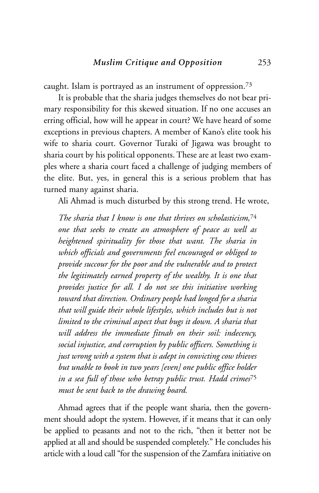caught. Islam is portrayed as an instrument of oppression.73

It is probable that the sharia judges themselves do not bear primary responsibility for this skewed situation. If no one accuses an erring official, how will he appear in court? We have heard of some exceptions in previous chapters. A member of Kano's elite took his wife to sharia court. Governor Turaki of Jigawa was brought to sharia court by his political opponents. These are at least two examples where a sharia court faced a challenge of judging members of the elite. But, yes, in general this is a serious problem that has turned many against sharia.

Ali Ahmad is much disturbed by this strong trend. He wrote,

*The sharia that I know is one that thrives on scholasticism,*<sup>74</sup> *one that seeks to create an atmosphere of peace as well as heightened spirituality for those that want. The sharia in which officials and governments feel encouraged or obliged to provide succour for the poor and the vulnerable and to protect the legitimately earned property of the wealthy. It is one that provides justice for all. I do not see this initiative working toward that direction. Ordinary people had longed for a sharia that will guide their whole lifestyles, which includes but is not limited to the criminal aspect that bugs it down. A sharia that will address the immediate fitnah on their soil: indecency, social injustice, and corruption by public officers. Something is just wrong with a system that is adept in convicting cow thieves but unable to book in two years [even] one public office holder in a sea full of those who betray public trust. Hadd crimes*<sup>75</sup> *must be sent back to the drawing board.*

Ahmad agrees that if the people want sharia, then the government should adopt the system. However, if it means that it can only be applied to peasants and not to the rich, "then it better not be applied at all and should be suspended completely." He concludes his article with a loud call "for the suspension of the Zamfara initiative on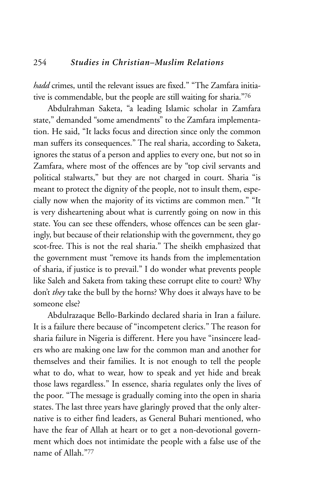*hadd* crimes, until the relevant issues are fixed." "The Zamfara initiative is commendable, but the people are still waiting for sharia."76

Abdulrahman Saketa, "a leading Islamic scholar in Zamfara state," demanded "some amendments" to the Zamfara implementation. He said, "It lacks focus and direction since only the common man suffers its consequences." The real sharia, according to Saketa, ignores the status of a person and applies to every one, but not so in Zamfara, where most of the offences are by "top civil servants and political stalwarts," but they are not charged in court. Sharia "is meant to protect the dignity of the people, not to insult them, especially now when the majority of its victims are common men." "It is very disheartening about what is currently going on now in this state. You can see these offenders, whose offences can be seen glaringly, but because of their relationship with the government, they go scot-free. This is not the real sharia." The sheikh emphasized that the government must "remove its hands from the implementation of sharia, if justice is to prevail." I do wonder what prevents people like Saleh and Saketa from taking these corrupt elite to court? Why don't *they* take the bull by the horns? Why does it always have to be someone else?

Abdulrazaque Bello-Barkindo declared sharia in Iran a failure. It is a failure there because of "incompetent clerics." The reason for sharia failure in Nigeria is different. Here you have "insincere leaders who are making one law for the common man and another for themselves and their families. It is not enough to tell the people what to do, what to wear, how to speak and yet hide and break those laws regardless." In essence, sharia regulates only the lives of the poor. "The message is gradually coming into the open in sharia states. The last three years have glaringly proved that the only alternative is to either find leaders, as General Buhari mentioned, who have the fear of Allah at heart or to get a non-devotional government which does not intimidate the people with a false use of the name of Allah<sup>377</sup>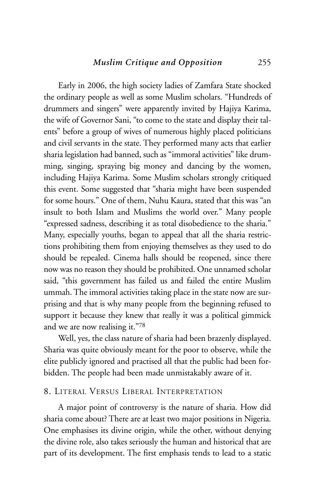Early in 2006, the high society ladies of Zamfara State shocked the ordinary people as well as some Muslim scholars. "Hundreds of drummers and singers" were apparently invited by Hajiya Karima, the wife of Governor Sani, "to come to the state and display their talents" before a group of wives of numerous highly placed politicians and civil servants in the state. They performed many acts that earlier sharia legislation had banned, such as "immoral activities" like drumming, singing, spraying big money and dancing by the women, including Hajiya Karima. Some Muslim scholars strongly critiqued this event. Some suggested that "sharia might have been suspended for some hours." One of them, Nuhu Kaura, stated that this was "an insult to both Islam and Muslims the world over." Many people "expressed sadness, describing it as total disobedience to the sharia." Many, especially youths, began to appeal that all the sharia restrictions prohibiting them from enjoying themselves as they used to do should be repealed. Cinema halls should be reopened, since there now was no reason they should be prohibited. One unnamed scholar said, "this government has failed us and failed the entire Muslim ummah. The immoral activities taking place in the state now are surprising and that is why many people from the beginning refused to support it because they knew that really it was a political gimmick and we are now realising it."78

Well, yes, the class nature of sharia had been brazenly displayed. Sharia was quite obviously meant for the poor to observe, while the elite publicly ignored and practised all that the public had been forbidden. The people had been made unmistakably aware of it.

#### 8. LITERAL VERSUS LIBERAL INTERPRETATION

A major point of controversy is the nature of sharia. How did sharia come about? There are at least two major positions in Nigeria. One emphasises its divine origin, while the other, without denying the divine role, also takes seriously the human and historical that are part of its development. The first emphasis tends to lead to a static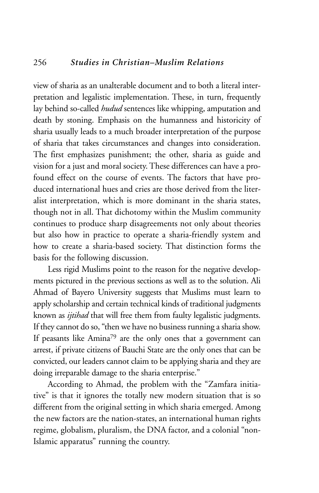view of sharia as an unalterable document and to both a literal interpretation and legalistic implementation. These, in turn, frequently lay behind so-called *hudud* sentences like whipping, amputation and death by stoning. Emphasis on the humanness and historicity of sharia usually leads to a much broader interpretation of the purpose of sharia that takes circumstances and changes into consideration. The first emphasizes punishment; the other, sharia as guide and vision for a just and moral society. These differences can have a profound effect on the course of events. The factors that have produced international hues and cries are those derived from the literalist interpretation, which is more dominant in the sharia states, though not in all. That dichotomy within the Muslim community continues to produce sharp disagreements not only about theories but also how in practice to operate a sharia-friendly system and how to create a sharia-based society. That distinction forms the basis for the following discussion.

Less rigid Muslims point to the reason for the negative developments pictured in the previous sections as well as to the solution. Ali Ahmad of Bayero University suggests that Muslims must learn to apply scholarship and certain technical kinds of traditional judgments known as *ijtihad* that will free them from faulty legalistic judgments. If they cannot do so, "then we have no business running a sharia show. If peasants like Amina79 are the only ones that a government can arrest, if private citizens of Bauchi State are the only ones that can be convicted, our leaders cannot claim to be applying sharia and they are doing irreparable damage to the sharia enterprise."

According to Ahmad, the problem with the "Zamfara initiative" is that it ignores the totally new modern situation that is so different from the original setting in which sharia emerged. Among the new factors are the nation-states, an international human rights regime, globalism, pluralism, the DNA factor, and a colonial "non-Islamic apparatus" running the country.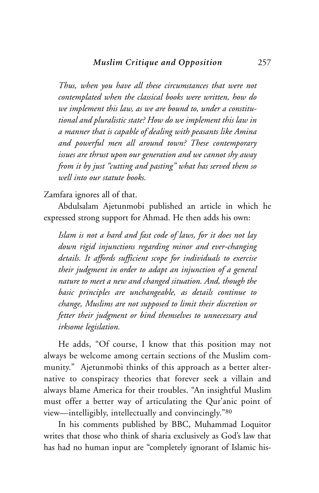*Thus, when you have all these circumstances that were not contemplated when the classical books were written, how do we implement this law, as we are bound to, under a constitutional and pluralistic state? How do we implement this law in a manner that is capable of dealing with peasants like Amina and powerful men all around town? These contemporary issues are thrust upon our generation and we cannot shy away from it by just "cutting and pasting" what has served them so well into our statute books.*

Zamfara ignores all of that.

Abdulsalam Ajetunmobi published an article in which he expressed strong support for Ahmad. He then adds his own:

*Islam is not a hard and fast code of laws, for it does not lay down rigid injunctions regarding minor and ever-changing details. It affords sufficient scope for individuals to exercise their judgment in order to adapt an injunction of a general nature to meet a new and changed situation. And, though the basic principles are unchangeable, as details continue to change, Muslims are not supposed to limit their discretion or fetter their judgment or bind themselves to unnecessary and irksome legislation.* 

He adds, "Of course, I know that this position may not always be welcome among certain sections of the Muslim community." Ajetunmobi thinks of this approach as a better alternative to conspiracy theories that forever seek a villain and always blame America for their troubles. "An insightful Muslim must offer a better way of articulating the Qur'anic point of view—intelligibly, intellectually and convincingly."80

In his comments published by BBC, Muhammad Loquitor writes that those who think of sharia exclusively as God's law that has had no human input are "completely ignorant of Islamic his-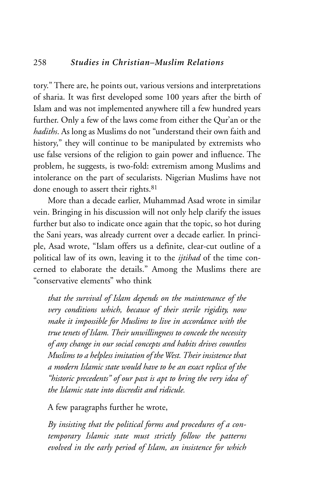#### 258 *Studies in Christian–Muslim Relations*

tory." There are, he points out, various versions and interpretations of sharia. It was first developed some 100 years after the birth of Islam and was not implemented anywhere till a few hundred years further. Only a few of the laws come from either the Qur'an or the *hadiths*. As long as Muslims do not "understand their own faith and history," they will continue to be manipulated by extremists who use false versions of the religion to gain power and influence. The problem, he suggests, is two-fold: extremism among Muslims and intolerance on the part of secularists. Nigerian Muslims have not done enough to assert their rights.<sup>81</sup>

More than a decade earlier, Muhammad Asad wrote in similar vein. Bringing in his discussion will not only help clarify the issues further but also to indicate once again that the topic, so hot during the Sani years, was already current over a decade earlier. In principle, Asad wrote, "Islam offers us a definite, clear-cut outline of a political law of its own, leaving it to the *ijtihad* of the time concerned to elaborate the details." Among the Muslims there are "conservative elements" who think

*that the survival of Islam depends on the maintenance of the very conditions which, because of their sterile rigidity, now make it impossible for Muslims to live in accordance with the true tenets of Islam. Their unwillingness to concede the necessity of any change in our social concepts and habits drives countless Muslims to a helpless imitation of the West. Their insistence that a modern Islamic state would have to be an exact replica of the "historic precedents" of our past is apt to bring the very idea of the Islamic state into discredit and ridicule.* 

A few paragraphs further he wrote,

*By insisting that the political forms and procedures of a contemporary Islamic state must strictly follow the patterns evolved in the early period of Islam, an insistence for which*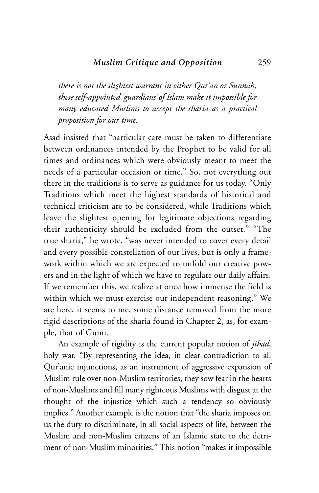*there is not the slightest warrant in either Qur'an or Sunnah, these self-appointed 'guardians' of Islam make it impossible for many educated Muslims to accept the sharia as a practical proposition for our time.*

Asad insisted that "particular care must be taken to differentiate between ordinances intended by the Prophet to be valid for all times and ordinances which were obviously meant to meet the needs of a particular occasion or time." So, not everything out there in the traditions is to serve as guidance for us today. "Only Traditions which meet the highest standards of historical and technical criticism are to be considered, while Traditions which leave the slightest opening for legitimate objections regarding their authenticity should be excluded from the outset." "The true sharia," he wrote, "was never intended to cover every detail and every possible constellation of our lives, but is only a framework within which we are expected to unfold our creative powers and in the light of which we have to regulate our daily affairs. If we remember this, we realize at once how immense the field is within which we must exercise our independent reasoning." We are here, it seems to me, some distance removed from the more rigid descriptions of the sharia found in Chapter 2, as, for example, that of Gumi.

An example of rigidity is the current popular notion of *jihad*, holy war. "By representing the idea, in clear contradiction to all Qur'anic injunctions, as an instrument of aggressive expansion of Muslim rule over non-Muslim territories, they sow fear in the hearts of non-Muslims and fill many righteous Muslims with disgust at the thought of the injustice which such a tendency so obviously implies." Another example is the notion that "the sharia imposes on us the duty to discriminate, in all social aspects of life, between the Muslim and non-Muslim citizens of an Islamic state to the detriment of non-Muslim minorities." This notion "makes it impossible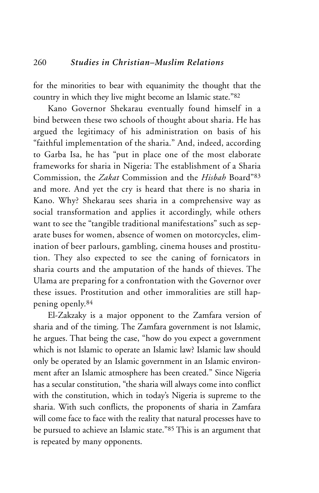for the minorities to bear with equanimity the thought that the country in which they live might become an Islamic state."82

Kano Governor Shekarau eventually found himself in a bind between these two schools of thought about sharia. He has argued the legitimacy of his administration on basis of his "faithful implementation of the sharia." And, indeed, according to Garba Isa, he has "put in place one of the most elaborate frameworks for sharia in Nigeria: The establishment of a Sharia Commission, the *Zakat* Commission and the *Hisbah* Board"83 and more. And yet the cry is heard that there is no sharia in Kano. Why? Shekarau sees sharia in a comprehensive way as social transformation and applies it accordingly, while others want to see the "tangible traditional manifestations" such as separate buses for women, absence of women on motorcycles, elimination of beer parlours, gambling, cinema houses and prostitution. They also expected to see the caning of fornicators in sharia courts and the amputation of the hands of thieves. The Ulama are preparing for a confrontation with the Governor over these issues. Prostitution and other immoralities are still happening openly.84

El-Zakzaky is a major opponent to the Zamfara version of sharia and of the timing. The Zamfara government is not Islamic, he argues. That being the case, "how do you expect a government which is not Islamic to operate an Islamic law? Islamic law should only be operated by an Islamic government in an Islamic environment after an Islamic atmosphere has been created." Since Nigeria has a secular constitution, "the sharia will always come into conflict with the constitution, which in today's Nigeria is supreme to the sharia. With such conflicts, the proponents of sharia in Zamfara will come face to face with the reality that natural processes have to be pursued to achieve an Islamic state."85 This is an argument that is repeated by many opponents.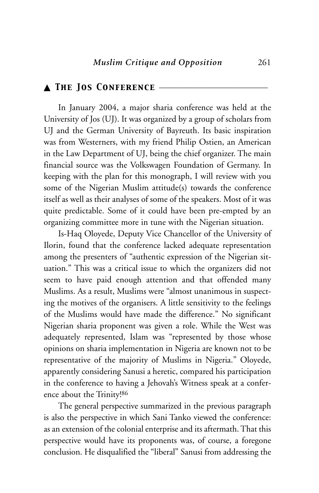#### ▲ *The Jos Conference* \_\_\_\_\_\_\_\_\_\_\_\_\_\_\_\_\_\_\_\_\_\_\_\_\_\_\_

In January 2004, a major sharia conference was held at the University of Jos (UJ). It was organized by a group of scholars from UJ and the German University of Bayreuth. Its basic inspiration was from Westerners, with my friend Philip Ostien, an American in the Law Department of UJ, being the chief organizer. The main financial source was the Volkswagen Foundation of Germany. In keeping with the plan for this monograph, I will review with you some of the Nigerian Muslim attitude(s) towards the conference itself as well as their analyses of some of the speakers. Most of it was quite predictable. Some of it could have been pre-empted by an organizing committee more in tune with the Nigerian situation.

Is-Haq Oloyede, Deputy Vice Chancellor of the University of Ilorin, found that the conference lacked adequate representation among the presenters of "authentic expression of the Nigerian situation." This was a critical issue to which the organizers did not seem to have paid enough attention and that offended many Muslims. As a result, Muslims were "almost unanimous in suspecting the motives of the organisers. A little sensitivity to the feelings of the Muslims would have made the difference." No significant Nigerian sharia proponent was given a role. While the West was adequately represented, Islam was "represented by those whose opinions on sharia implementation in Nigeria are known not to be representative of the majority of Muslims in Nigeria." Oloyede, apparently considering Sanusi a heretic, compared his participation in the conference to having a Jehovah's Witness speak at a conference about the Trinity!86

The general perspective summarized in the previous paragraph is also the perspective in which Sani Tanko viewed the conference: as an extension of the colonial enterprise and its aftermath. That this perspective would have its proponents was, of course, a foregone conclusion. He disqualified the "liberal" Sanusi from addressing the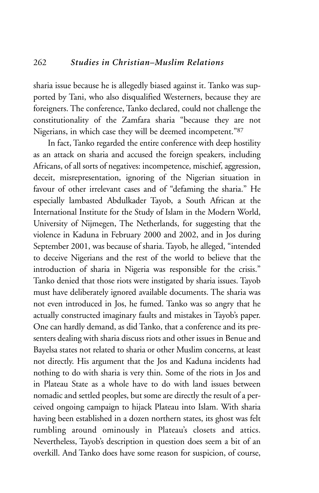sharia issue because he is allegedly biased against it. Tanko was supported by Tani, who also disqualified Westerners, because they are foreigners. The conference, Tanko declared, could not challenge the constitutionality of the Zamfara sharia "because they are not Nigerians, in which case they will be deemed incompetent."87

In fact, Tanko regarded the entire conference with deep hostility as an attack on sharia and accused the foreign speakers, including Africans, of all sorts of negatives: incompetence, mischief, aggression, deceit, misrepresentation, ignoring of the Nigerian situation in favour of other irrelevant cases and of "defaming the sharia." He especially lambasted Abdulkader Tayob, a South African at the International Institute for the Study of Islam in the Modern World, University of Nijmegen, The Netherlands, for suggesting that the violence in Kaduna in February 2000 and 2002, and in Jos during September 2001, was because of sharia. Tayob, he alleged, "intended to deceive Nigerians and the rest of the world to believe that the introduction of sharia in Nigeria was responsible for the crisis." Tanko denied that those riots were instigated by sharia issues. Tayob must have deliberately ignored available documents. The sharia was not even introduced in Jos, he fumed. Tanko was so angry that he actually constructed imaginary faults and mistakes in Tayob's paper. One can hardly demand, as did Tanko, that a conference and its presenters dealing with sharia discuss riots and other issues in Benue and Bayelsa states not related to sharia or other Muslim concerns, at least not directly. His argument that the Jos and Kaduna incidents had nothing to do with sharia is very thin. Some of the riots in Jos and in Plateau State as a whole have to do with land issues between nomadic and settled peoples, but some are directly the result of a perceived ongoing campaign to hijack Plateau into Islam. With sharia having been established in a dozen northern states, its ghost was felt rumbling around ominously in Plateau's closets and attics. Nevertheless, Tayob's description in question does seem a bit of an overkill. And Tanko does have some reason for suspicion, of course,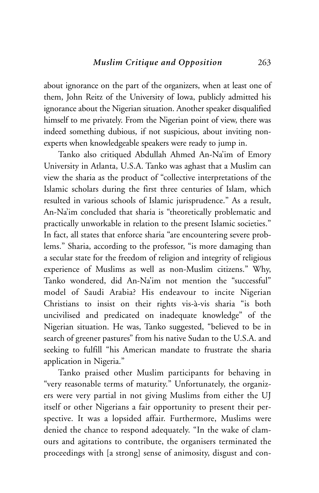about ignorance on the part of the organizers, when at least one of them, John Reitz of the University of Iowa, publicly admitted his ignorance about the Nigerian situation. Another speaker disqualified himself to me privately. From the Nigerian point of view, there was indeed something dubious, if not suspicious, about inviting nonexperts when knowledgeable speakers were ready to jump in.

Tanko also critiqued Abdullah Ahmed An-Na'im of Emory University in Atlanta, U.S.A. Tanko was aghast that a Muslim can view the sharia as the product of "collective interpretations of the Islamic scholars during the first three centuries of Islam, which resulted in various schools of Islamic jurisprudence." As a result, An-Na'im concluded that sharia is "theoretically problematic and practically unworkable in relation to the present Islamic societies." In fact, all states that enforce sharia "are encountering severe problems." Sharia, according to the professor, "is more damaging than a secular state for the freedom of religion and integrity of religious experience of Muslims as well as non-Muslim citizens." Why, Tanko wondered, did An-Na'im not mention the "successful" model of Saudi Arabia? His endeavour to incite Nigerian Christians to insist on their rights vis-à-vis sharia "is both uncivilised and predicated on inadequate knowledge" of the Nigerian situation. He was, Tanko suggested, "believed to be in search of greener pastures" from his native Sudan to the U.S.A. and seeking to fulfill "his American mandate to frustrate the sharia application in Nigeria."

Tanko praised other Muslim participants for behaving in "very reasonable terms of maturity." Unfortunately, the organizers were very partial in not giving Muslims from either the UJ itself or other Nigerians a fair opportunity to present their perspective. It was a lopsided affair. Furthermore, Muslims were denied the chance to respond adequately. "In the wake of clamours and agitations to contribute, the organisers terminated the proceedings with [a strong] sense of animosity, disgust and con-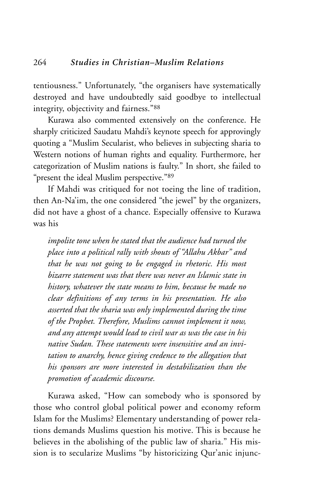tentiousness." Unfortunately, "the organisers have systematically destroyed and have undoubtedly said goodbye to intellectual integrity, objectivity and fairness."88

Kurawa also commented extensively on the conference. He sharply criticized Saudatu Mahdi's keynote speech for approvingly quoting a "Muslim Secularist, who believes in subjecting sharia to Western notions of human rights and equality. Furthermore, her categorization of Muslim nations is faulty." In short, she failed to "present the ideal Muslim perspective."89

If Mahdi was critiqued for not toeing the line of tradition, then An-Na'im, the one considered "the jewel" by the organizers, did not have a ghost of a chance. Especially offensive to Kurawa was his

*impolite tone when he stated that the audience had turned the place into a political rally with shouts of "Allahu Akbar" and that he was not going to be engaged in rhetoric. His most bizarre statement was that there was never an Islamic state in history, whatever the state means to him, because he made no clear definitions of any terms in his presentation. He also asserted that the sharia was only implemented during the time of the Prophet. Therefore, Muslims cannot implement it now, and any attempt would lead to civil war as was the case in his native Sudan. These statements were insensitive and an invitation to anarchy, hence giving credence to the allegation that his sponsors are more interested in destabilization than the promotion of academic discourse.*

Kurawa asked, "How can somebody who is sponsored by those who control global political power and economy reform Islam for the Muslims? Elementary understanding of power relations demands Muslims question his motive. This is because he believes in the abolishing of the public law of sharia." His mission is to secularize Muslims "by historicizing Qur'anic injunc-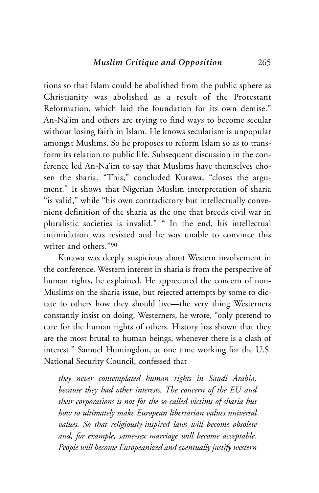tions so that Islam could be abolished from the public sphere as Christianity was abolished as a result of the Protestant Reformation, which laid the foundation for its own demise." An-Na'im and others are trying to find ways to become secular without losing faith in Islam. He knows secularism is unpopular amongst Muslims. So he proposes to reform Islam so as to transform its relation to public life. Subsequent discussion in the conference led An-Na'im to say that Muslims have themselves chosen the sharia. "This," concluded Kurawa, "closes the argument." It shows that Nigerian Muslim interpretation of sharia "is valid," while "his own contradictory but intellectually convenient definition of the sharia as the one that breeds civil war in pluralistic societies is invalid." " In the end, his intellectual intimidation was resisted and he was unable to convince this writer and others<sup>"90</sup>

Kurawa was deeply suspicious about Western involvement in the conference. Western interest in sharia is from the perspective of human rights, he explained. He appreciated the concern of non-Muslims on the sharia issue, but rejected attempts by some to dictate to others how they should live—the very thing Westerners constantly insist on doing. Westerners, he wrote, "only pretend to care for the human rights of others. History has shown that they are the most brutal to human beings, whenever there is a clash of interest." Samuel Huntingdon, at one time working for the U.S. National Security Council, confessed that

*they never contemplated human rights in Saudi Arabia, because they had other interests. The concern of the EU and their corporations is not for the so-called victims of sharia but how to ultimately make European libertarian values universal values. So that religiously-inspired laws will become obsolete and, for example, same-sex marriage will become acceptable. People will become Europeanized and eventually justify western*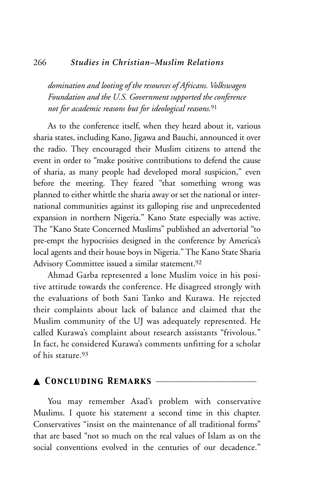#### 266 *Studies in Christian–Muslim Relations*

*domination and looting of the resources of Africans. Volkswagen Foundation and the U.S. Government supported the conference not for academic reasons but for ideological reasons.*<sup>91</sup>

As to the conference itself, when they heard about it, various sharia states, including Kano, Jigawa and Bauchi, announced it over the radio. They encouraged their Muslim citizens to attend the event in order to "make positive contributions to defend the cause of sharia, as many people had developed moral suspicion," even before the meeting. They feared "that something wrong was planned to either whittle the sharia away or set the national or international communities against its galloping rise and unprecedented expansion in northern Nigeria." Kano State especially was active. The "Kano State Concerned Muslims" published an advertorial "to pre-empt the hypocrisies designed in the conference by America's local agents and their house boys in Nigeria." The Kano State Sharia Advisory Committee issued a similar statement.92

Ahmad Garba represented a lone Muslim voice in his positive attitude towards the conference. He disagreed strongly with the evaluations of both Sani Tanko and Kurawa. He rejected their complaints about lack of balance and claimed that the Muslim community of the UJ was adequately represented. He called Kurawa's complaint about research assistants "frivolous." In fact, he considered Kurawa's comments unfitting for a scholar of his stature.93

# ▲ *Concluding Remarks* \_\_\_\_\_\_\_\_\_\_\_\_\_\_\_\_\_\_\_\_\_\_\_\_\_

You may remember Asad's problem with conservative Muslims. I quote his statement a second time in this chapter. Conservatives "insist on the maintenance of all traditional forms" that are based "not so much on the real values of Islam as on the social conventions evolved in the centuries of our decadence."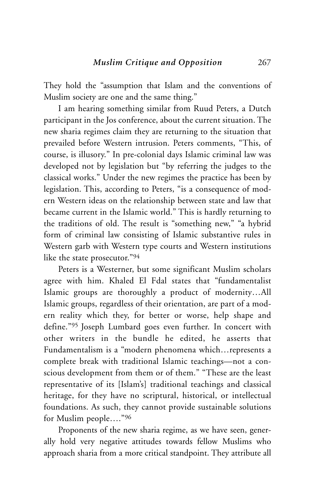They hold the "assumption that Islam and the conventions of Muslim society are one and the same thing."

I am hearing something similar from Ruud Peters, a Dutch participant in the Jos conference, about the current situation. The new sharia regimes claim they are returning to the situation that prevailed before Western intrusion. Peters comments, "This, of course, is illusory." In pre-colonial days Islamic criminal law was developed not by legislation but "by referring the judges to the classical works." Under the new regimes the practice has been by legislation. This, according to Peters, "is a consequence of modern Western ideas on the relationship between state and law that became current in the Islamic world." This is hardly returning to the traditions of old. The result is "something new," "a hybrid form of criminal law consisting of Islamic substantive rules in Western garb with Western type courts and Western institutions like the state prosecutor."94

Peters is a Westerner, but some significant Muslim scholars agree with him. Khaled El Fdal states that "fundamentalist Islamic groups are thoroughly a product of modernity…All Islamic groups, regardless of their orientation, are part of a modern reality which they, for better or worse, help shape and define."95 Joseph Lumbard goes even further. In concert with other writers in the bundle he edited, he asserts that Fundamentalism is a "modern phenomena which…represents a complete break with traditional Islamic teachings—not a conscious development from them or of them." "These are the least representative of its [Islam's] traditional teachings and classical heritage, for they have no scriptural, historical, or intellectual foundations. As such, they cannot provide sustainable solutions for Muslim people…."96

Proponents of the new sharia regime, as we have seen, generally hold very negative attitudes towards fellow Muslims who approach sharia from a more critical standpoint. They attribute all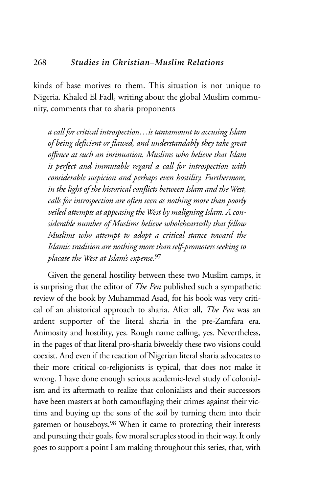kinds of base motives to them. This situation is not unique to Nigeria. Khaled El Fadl, writing about the global Muslim community, comments that to sharia proponents

*a call for critical introspection…is tantamount to accusing Islam of being deficient or flawed, and understandably they take great offence at such an insinuation. Muslims who believe that Islam is perfect and immutable regard a call for introspection with considerable suspicion and perhaps even hostility. Furthermore, in the light of the historical conflicts between Islam and the West, calls for introspection are often seen as nothing more than poorly veiled attempts at appeasing the West by maligning Islam. A considerable number of Muslims believe wholeheartedly that fellow Muslims who attempt to adopt a critical stance toward the Islamic tradition are nothing more than self-promoters seeking to placate the West at Islam's expense.*<sup>97</sup>

Given the general hostility between these two Muslim camps, it is surprising that the editor of *The Pen* published such a sympathetic review of the book by Muhammad Asad, for his book was very critical of an ahistorical approach to sharia. After all, *The Pen* was an ardent supporter of the literal sharia in the pre-Zamfara era. Animosity and hostility, yes. Rough name calling, yes. Nevertheless, in the pages of that literal pro-sharia biweekly these two visions could coexist. And even if the reaction of Nigerian literal sharia advocates to their more critical co-religionists is typical, that does not make it wrong. I have done enough serious academic-level study of colonialism and its aftermath to realize that colonialists and their successors have been masters at both camouflaging their crimes against their victims and buying up the sons of the soil by turning them into their gatemen or houseboys.98 When it came to protecting their interests and pursuing their goals, few moral scruples stood in their way. It only goes to support a point I am making throughout this series, that, with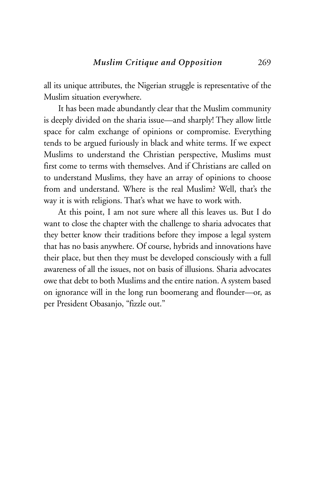all its unique attributes, the Nigerian struggle is representative of the Muslim situation everywhere.

It has been made abundantly clear that the Muslim community is deeply divided on the sharia issue—and sharply! They allow little space for calm exchange of opinions or compromise. Everything tends to be argued furiously in black and white terms. If we expect Muslims to understand the Christian perspective, Muslims must first come to terms with themselves. And if Christians are called on to understand Muslims, they have an array of opinions to choose from and understand. Where is the real Muslim? Well, that's the way it is with religions. That's what we have to work with.

At this point, I am not sure where all this leaves us. But I do want to close the chapter with the challenge to sharia advocates that they better know their traditions before they impose a legal system that has no basis anywhere. Of course, hybrids and innovations have their place, but then they must be developed consciously with a full awareness of all the issues, not on basis of illusions. Sharia advocates owe that debt to both Muslims and the entire nation. A system based on ignorance will in the long run boomerang and flounder—or, as per President Obasanjo, "fizzle out."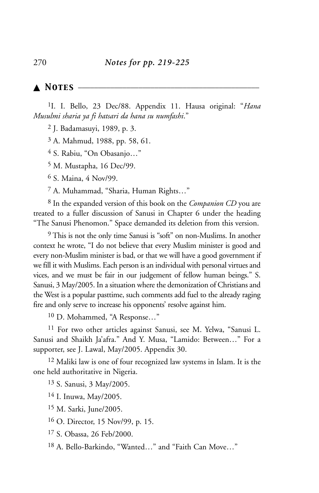# ▲ *Notes* \_\_\_\_\_\_\_\_\_\_\_\_\_\_\_\_\_\_\_\_\_\_\_\_\_\_\_\_\_\_\_\_\_\_\_\_\_\_\_\_\_\_\_\_\_

1I. I. Bello, 23 Dec/88. Appendix 11. Hausa original: "*Hana Musulmi sharia ya fi hatsari da hana su numfashi*."

2 J. Badamasuyi, 1989, p. 3.

3 A. Mahmud, 1988, pp. 58, 61.

4 S. Rabiu, "On Obasanjo…"

5 M. Mustapha, 16 Dec/99.

6 S. Maina, 4 Nov/99.

7 A. Muhammad, "Sharia, Human Rights…"

8 In the expanded version of this book on the *Companion CD* you are treated to a fuller discussion of Sanusi in Chapter 6 under the heading "The Sanusi Phenomon." Space demanded its deletion from this version.

9 This is not the only time Sanusi is "soft" on non-Muslims. In another context he wrote, "I do not believe that every Muslim minister is good and every non-Muslim minister is bad, or that we will have a good government if we fill it with Muslims. Each person is an individual with personal virtues and vices, and we must be fair in our judgement of fellow human beings." S. Sanusi, 3 May/2005. In a situation where the demonization of Christians and the West is a popular pasttime, such comments add fuel to the already raging fire and only serve to increase his opponents' resolve against him.

10 D. Mohammed, "A Response…"

11 For two other articles against Sanusi, see M. Yelwa, "Sanusi L. Sanusi and Shaikh Ja'afra." And Y. Musa, "Lamido: Between..." For a supporter, see J. Lawal, May/2005. Appendix 30.

12 Maliki law is one of four recognized law systems in Islam. It is the one held authoritative in Nigeria.

13 S. Sanusi, 3 May/2005.

14 I. Inuwa, May/2005.

15 M. Sarki, June/2005.

16 O. Director, 15 Nov/99, p. 15.

17 S. Obassa, 26 Feb/2000.

18 A. Bello-Barkindo, "Wanted…" and "Faith Can Move…"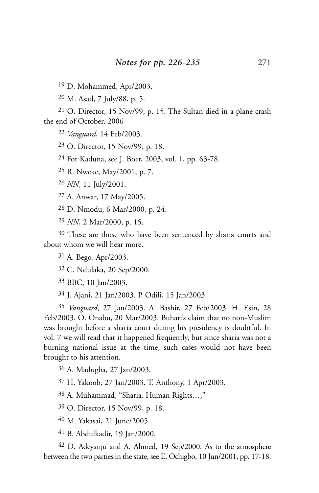D. Mohammed, Apr/2003.

M. Asad, 7 July/88, p. 5.

 O. Director, 15 Nov/99, p. 15. The Sultan died in a plane crash the end of October, 2006

*Vanguard*, 14 Feb/2003.

O. Director, 15 Nov/99, p. 18.

For Kaduna, see J. Boer, 2003, vol. 1, pp. 63-78.

R. Nweke, May/2001, p. 7.

*NN*, 11 July/2001.

A. Anwar, 17 May/2005.

D. Nmodu, 6 Mar/2000, p. 24.

*NN*, 2 Mar/2000, p. 15.

<sup>30</sup> These are those who have been sentenced by sharia courts and about whom we will hear more.

A. Bego, Apr/2003.

C. Ndulaka, 20 Sep/2000.

BBC, 10 Jan/2003.

J. Ajani, 21 Jan/2003. P. Odili, 15 Jan/2003.

 *Vanguard*, 27 Jan/2003. A. Bashir, 27 Feb/2003. H. Esin, 28 Feb/2003. O. Onabu, 20 Mar/2003. Buhari's claim that no non-Muslim was brought before a sharia court during his presidency is doubtful. In vol. 7 we will read that it happened frequently, but since sharia was not a burning national issue at the time, such cases would not have been brought to his attention.

A. Madugba, 27 Jan/2003.

H. Yakoob, 27 Jan/2003. T. Anthony, 1 Apr/2003.

A. Muhammad, "Sharia, Human Rights…,"

O. Director, 15 Nov/99, p. 18.

M. Yakasai, 21 June/2005.

B. Abdulkadir, 19 Jan/2000.

 D. Adeyanju and A. Ahmed, 19 Sep/2000. As to the atmosphere between the two parties in the state, see E. Ochigbo, 10 Jun/2001, pp. 17-18.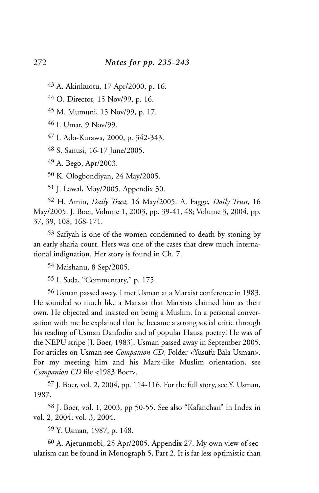43 A. Akinkuotu, 17 Apr/2000, p. 16.

44 O. Director, 15 Nov/99, p. 16.

45 M. Mumuni, 15 Nov/99, p. 17.

46 I. Umar, 9 Nov/99.

47 I. Ado-Kurawa, 2000, p. 342-343.

48 S. Sanusi, 16-17 June/2005.

49 A. Bego, Apr/2003.

50 K. Ologbondiyan, 24 May/2005.

51 J. Lawal, May/2005. Appendix 30.

52 H. Amin, *Daily Trust,* 16 May/2005. A. Fagge, *Daily Trust*, 16 May/2005. J. Boer, Volume 1, 2003, pp. 39-41, 48; Volume 3, 2004, pp. 37, 39, 108, 168-171.

53 Safiyah is one of the women condemned to death by stoning by an early sharia court. Hers was one of the cases that drew much international indignation. Her story is found in Ch. 7.

54 Maishanu, 8 Sep/2005.

55 I. Sada, "Commentary," p. 175.

56 Usman passed away. I met Usman at a Marxist conference in 1983. He sounded so much like a Marxist that Marxists claimed him as their own. He objected and insisted on being a Muslim. In a personal conversation with me he explained that he became a strong social critic through his reading of Usman Danfodio and of popular Hausa poetry! He was of the NEPU stripe [J. Boer, 1983]. Usman passed away in September 2005. For articles on Usman see *Companion CD*, Folder <Yusufu Bala Usman>. For my meeting him and his Marx-like Muslim orientation, see *Companion CD* file <1983 Boer>.

57 J. Boer, vol. 2, 2004, pp. 114-116. For the full story, see Y. Usman, 1987.

58 J. Boer, vol. 1, 2003, pp 50-55. See also "Kafanchan" in Index in vol. 2, 2004; vol. 3, 2004.

59 Y. Usman, 1987, p. 148.

60 A. Ajetunmobi, 25 Apr/2005. Appendix 27. My own view of secularism can be found in Monograph 5, Part 2. It is far less optimistic than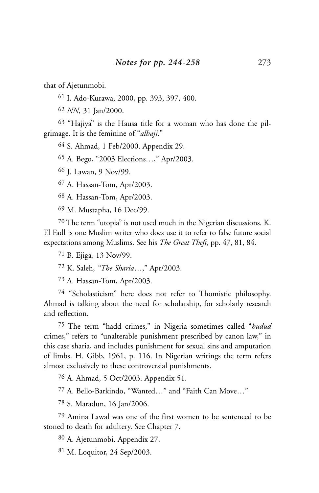that of Ajetunmobi.

I. Ado-Kurawa, 2000, pp. 393, 397, 400.

*NN*, 31 Jan/2000.

 "Hajiya" is the Hausa title for a woman who has done the pilgrimage. It is the feminine of "*alhaji*."

S. Ahmad, 1 Feb/2000. Appendix 29.

A. Bego, "2003 Elections…," Apr/2003.

J. Lawan, 9 Nov/99.

A. Hassan-Tom, Apr/2003.

A. Hassan-Tom, Apr/2003.

M. Mustapha, 16 Dec/99.

 The term "utopia" is not used much in the Nigerian discussions. K. El Fadl is one Muslim writer who does use it to refer to false future social expectations among Muslims. See his *The Great Theft*, pp. 47, 81, 84.

B. Ejiga, 13 Nov/99.

K. Saleh, *"The Sharia*…," Apr/2003.

A. Hassan-Tom, Apr/2003.

 "Scholasticism" here does not refer to Thomistic philosophy. Ahmad is talking about the need for scholarship, for scholarly research and reflection.

 The term "hadd crimes," in Nigeria sometimes called "*hudud* crimes," refers to "unalterable punishment prescribed by canon law," in this case sharia, and includes punishment for sexual sins and amputation of limbs. H. Gibb, 1961, p. 116. In Nigerian writings the term refers almost exclusively to these controversial punishments.

A. Ahmad, 5 Oct/2003. Appendix 51.

A. Bello-Barkindo, "Wanted…" and "Faith Can Move…"

S. Maradun, 16 Jan/2006.

 Amina Lawal was one of the first women to be sentenced to be stoned to death for adultery. See Chapter 7.

A. Ajetunmobi. Appendix 27.

M. Loquitor, 24 Sep/2003.